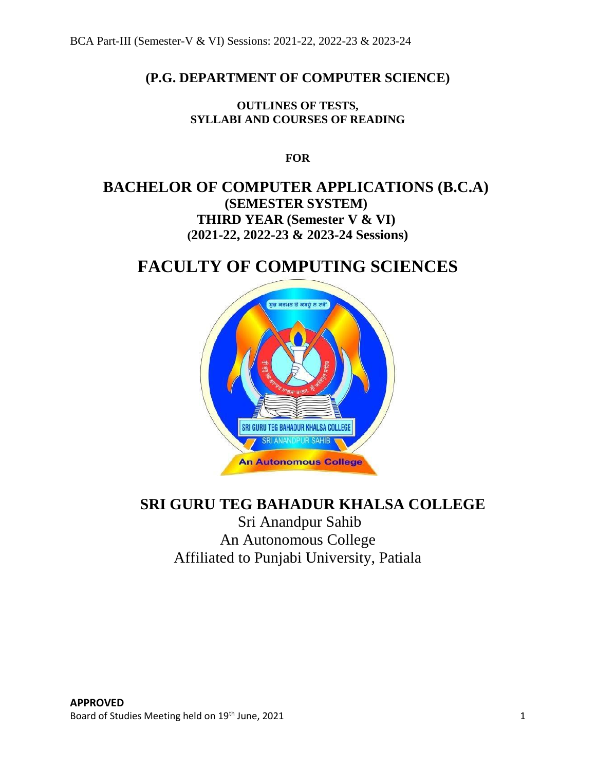## **(P.G. DEPARTMENT OF COMPUTER SCIENCE)**

**OUTLINES OF TESTS, SYLLABI AND COURSES OF READING**

**FOR**

## **BACHELOR OF COMPUTER APPLICATIONS (B.C.A) (SEMESTER SYSTEM) THIRD YEAR (Semester V & VI) (2021-22, 2022-23 & 2023-24 Sessions)**

# **FACULTY OF COMPUTING SCIENCES**



# **SRI GURU TEG BAHADUR KHALSA COLLEGE**

Sri Anandpur Sahib An Autonomous College Affiliated to Punjabi University, Patiala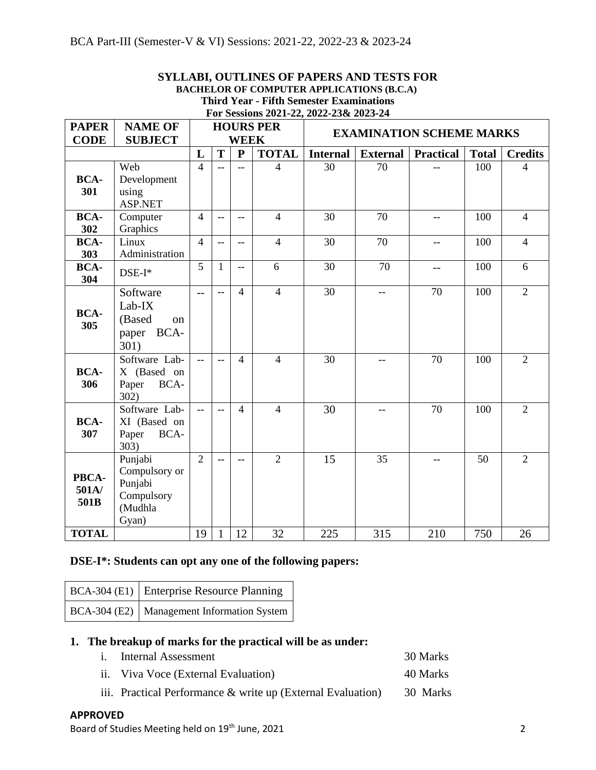|                                                                 |                                                                       |                |                          |                |                                                 |                                                                           | STLLADI, OUTLINES OF TATENS AND TESTS FOR<br><b>BACHELOR OF COMPUTER APPLICATIONS (B.C.A)</b> |                          |              |                |
|-----------------------------------------------------------------|-----------------------------------------------------------------------|----------------|--------------------------|----------------|-------------------------------------------------|---------------------------------------------------------------------------|-----------------------------------------------------------------------------------------------|--------------------------|--------------|----------------|
|                                                                 |                                                                       |                |                          |                | <b>Third Year - Fifth Semester Examinations</b> |                                                                           |                                                                                               |                          |              |                |
| <b>PAPER</b><br><b>NAME OF</b><br><b>CODE</b><br><b>SUBJECT</b> |                                                                       |                |                          |                | <b>HOURS PER</b><br><b>WEEK</b>                 | For Sessions 2021-22, 2022-23& 2023-24<br><b>EXAMINATION SCHEME MARKS</b> |                                                                                               |                          |              |                |
|                                                                 |                                                                       | L              | T                        | $\mathbf{P}$   | <b>TOTAL</b>                                    | <b>Internal</b>                                                           | <b>External</b>                                                                               | <b>Practical</b>         | <b>Total</b> | <b>Credits</b> |
| <b>BCA-</b><br>301                                              | Web<br>Development<br>using<br>ASP.NET                                | $\overline{4}$ | $\qquad \qquad -$        | $-$            | $\overline{4}$                                  | 30                                                                        | 70                                                                                            |                          | 100          | $\overline{4}$ |
| <b>BCA-</b><br>302                                              | Computer<br>Graphics                                                  | $\overline{4}$ | $\overline{\phantom{m}}$ | $-\!$ –        | $\overline{4}$                                  | 30                                                                        | 70                                                                                            | $-$                      | 100          | $\overline{4}$ |
| <b>BCA-</b><br>303                                              | Linux<br>Administration                                               | $\overline{4}$ | $\overline{\phantom{a}}$ | $-$            | $\overline{4}$                                  | 30                                                                        | 70                                                                                            | $\overline{\phantom{a}}$ | 100          | $\overline{4}$ |
| <b>BCA-</b><br>304                                              | $DSE-I*$                                                              | 5              | $\mathbf{1}$             | $-$            | 6                                               | 30                                                                        | 70                                                                                            | $- -$                    | 100          | 6              |
| <b>BCA-</b><br>305                                              | Software<br>Lab-IX<br>(Based<br>on<br>paper BCA-<br>301)              | $-$            | $-$                      | 4              | $\overline{4}$                                  | 30                                                                        | $-$                                                                                           | 70                       | 100          | $\overline{2}$ |
| <b>BCA-</b><br>306                                              | Software Lab-<br>X (Based on<br>Paper<br>BCA-<br>302)                 | $-$            | $-$                      | $\overline{4}$ | $\overline{4}$                                  | 30                                                                        |                                                                                               | 70                       | 100          | $\overline{2}$ |
| <b>BCA-</b><br>307                                              | Software Lab-<br>XI (Based on<br>BCA-<br>Paper<br>303)                | $-$            | $\overline{a}$           | $\overline{4}$ | $\overline{4}$                                  | 30                                                                        | $\overline{\phantom{m}}$                                                                      | 70                       | 100          | $\overline{2}$ |
| PBCA-<br>501A/<br>501B                                          | Punjabi<br>Compulsory or<br>Punjabi<br>Compulsory<br>(Mudhla<br>Gyan) | $\overline{2}$ | $\qquad \qquad -$        | $-$            | $\overline{2}$                                  | 15                                                                        | 35                                                                                            | $-$                      | 50           | $\overline{2}$ |

# **SVLLABL OUTLINES OF PAPERS AND TESTS FOR**

## **DSE-I\*: Students can opt any one of the following papers:**

| BCA-304 (E1) Enterprise Resource Planning  |
|--------------------------------------------|
| BCA-304 (E2) Management Information System |

## **1. The breakup of marks for the practical will be as under:**

i. Internal Assessment 30 Marks

**TOTAL** 19 1 12 32 225 315 210 750 26

- ii. Viva Voce (External Evaluation) 40 Marks
- iii. Practical Performance & write up (External Evaluation) 30 Marks

## **APPROVED**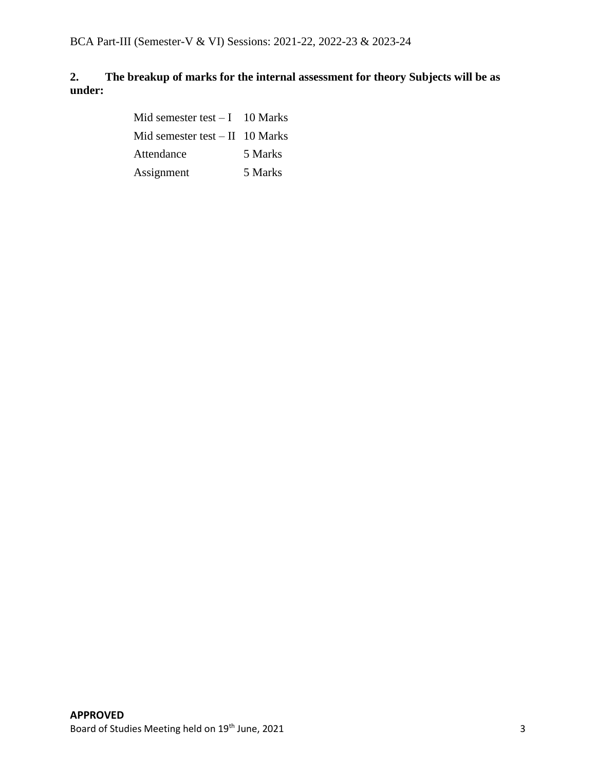## **2. The breakup of marks for the internal assessment for theory Subjects will be as under:**

Mid semester test  $-1$  10 Marks Mid semester test – II 10 Marks Attendance 5 Marks Assignment 5 Marks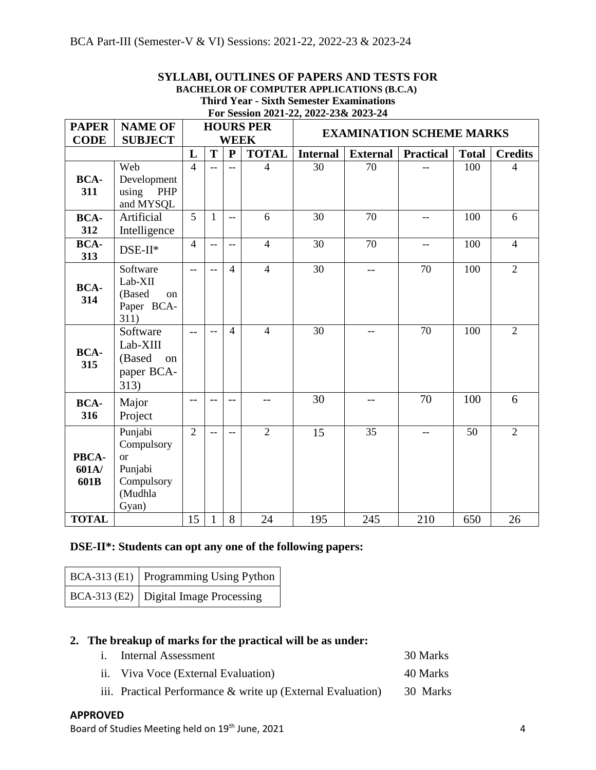| <b>BACHELOR OF COMPUTER APPLICATIONS (B.C.A)</b> |                                                                                          |                |                                                                    |                |                |                 |                                                                       |                          |     |                |  |
|--------------------------------------------------|------------------------------------------------------------------------------------------|----------------|--------------------------------------------------------------------|----------------|----------------|-----------------|-----------------------------------------------------------------------|--------------------------|-----|----------------|--|
|                                                  | <b>Third Year - Sixth Semester Examinations</b><br>For Session 2021-22, 2022-23& 2023-24 |                |                                                                    |                |                |                 |                                                                       |                          |     |                |  |
| <b>PAPER</b><br><b>CODE</b>                      | <b>NAME OF</b><br><b>SUBJECT</b>                                                         |                | <b>HOURS PER</b><br><b>EXAMINATION SCHEME MARKS</b><br><b>WEEK</b> |                |                |                 |                                                                       |                          |     |                |  |
|                                                  |                                                                                          | L              | T                                                                  | $\mathbf{P}$   | <b>TOTAL</b>   | <b>Internal</b> | <b>Practical</b><br><b>External</b><br><b>Total</b><br><b>Credits</b> |                          |     |                |  |
| <b>BCA-</b><br>311                               | Web<br>Development<br>using<br>PHP<br>and MYSQL                                          | $\overline{4}$ |                                                                    | $\overline{a}$ | $\overline{4}$ | 30              | 70                                                                    |                          | 100 | $\overline{4}$ |  |
| <b>BCA-</b><br>312                               | Artificial<br>Intelligence                                                               | $\overline{5}$ | $\mathbf{1}$                                                       | $-$            | 6              | 30              | 70                                                                    | $-$                      | 100 | 6              |  |
| <b>BCA-</b><br>313                               | $DSE-II*$                                                                                | $\overline{4}$ | $\frac{1}{2}$                                                      | $-$            | $\overline{4}$ | 30              | 70                                                                    | $\overline{\phantom{m}}$ | 100 | $\overline{4}$ |  |
| <b>BCA-</b><br>314                               | Software<br>Lab-XII<br>(Based<br>on<br>Paper BCA-<br>311)                                | $-$            | $-$                                                                | $\overline{4}$ | $\overline{4}$ | 30              | $-$                                                                   | 70                       | 100 | $\overline{2}$ |  |
| <b>BCA-</b><br>315                               | Software<br>Lab-XIII<br>(Based<br>on<br>paper BCA-<br>313)                               | $-$            |                                                                    | $\overline{4}$ | $\overline{4}$ | 30              | $-$                                                                   | 70                       | 100 | $\overline{2}$ |  |
| <b>BCA-</b><br>316                               | Major<br>Project                                                                         | --             |                                                                    | $-$            | --             | 30              | --                                                                    | 70                       | 100 | 6              |  |
| PBCA-<br>601A/<br>601B                           | Punjabi<br>Compulsory<br><sub>or</sub><br>Punjabi<br>Compulsory<br>(Mudhla<br>Gyan)      | $\overline{2}$ |                                                                    | $-$            | $\overline{2}$ | 15              | 35                                                                    | $-$                      | 50  | $\overline{2}$ |  |

**TOTAL** 15 1 8 24 195 245 210 650 26

# **SYLLABI, OUTLINES OF PAPERS AND TESTS FOR**

## **DSE-II\*: Students can opt any one of the following papers:**

| BCA-313 (E1) Programming Using Python         |
|-----------------------------------------------|
| BCA-313 (E2) $\vert$ Digital Image Processing |

## **2. The breakup of marks for the practical will be as under:**

- i. Internal Assessment 30 Marks
- ii. Viva Voce (External Evaluation) 40 Marks
- iii. Practical Performance & write up (External Evaluation) 30 Marks

## **APPROVED**

Board of Studies Meeting held on 19<sup>th</sup> June, 2021 4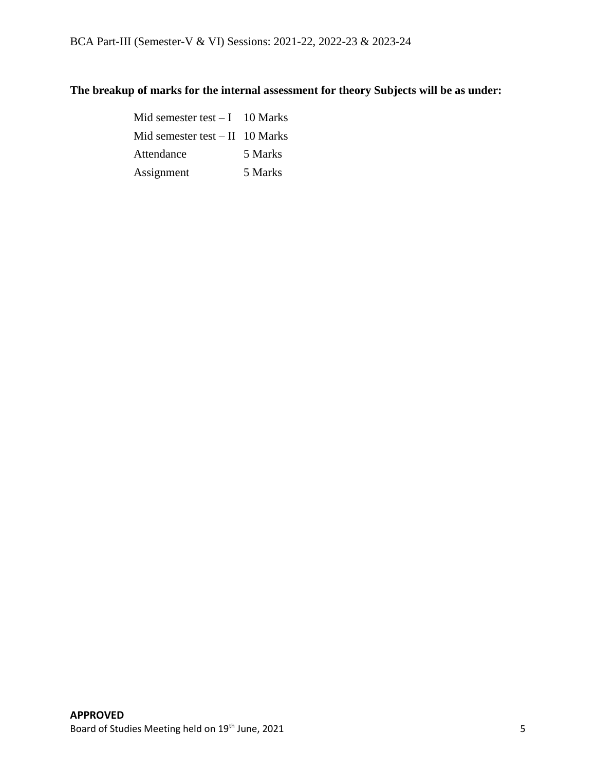## **The breakup of marks for the internal assessment for theory Subjects will be as under:**

Mid semester test  $-1$  10 Marks Mid semester test  $-$  II 10 Marks Attendance 5 Marks Assignment 5 Marks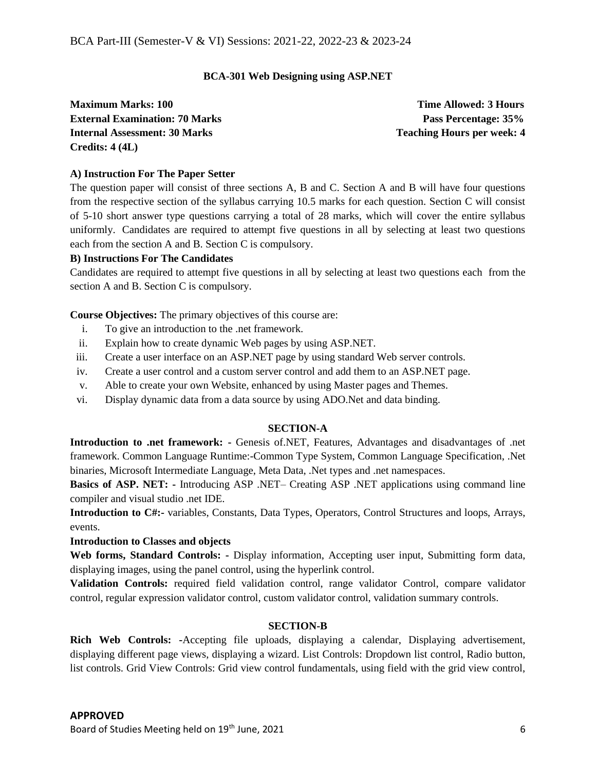## **BCA-301 Web Designing using ASP.NET**

**Maximum Marks: 100 Time Allowed: 3 Hours External Examination: 70 Marks Pass Percentage: 35% Internal Assessment: 30 Marks Teaching Hours per week: 4 <b>Teaching Hours** per week: 4 **Credits: 4 (4L)**

## **A) Instruction For The Paper Setter**

The question paper will consist of three sections A, B and C. Section A and B will have four questions from the respective section of the syllabus carrying 10.5 marks for each question. Section C will consist of 5-10 short answer type questions carrying a total of 28 marks, which will cover the entire syllabus uniformly. Candidates are required to attempt five questions in all by selecting at least two questions each from the section A and B. Section C is compulsory.

## **B) Instructions For The Candidates**

Candidates are required to attempt five questions in all by selecting at least two questions each from the section A and B. Section C is compulsory.

**Course Objectives:** The primary objectives of this course are:

- i. To give an introduction to the .net framework.
- ii. Explain how to create dynamic Web pages by using ASP.NET.
- iii. Create a user interface on an ASP.NET page by using standard Web server controls.
- iv. Create a user control and a custom server control and add them to an ASP.NET page.
- v. Able to create your own Website, enhanced by using Master pages and Themes.
- vi. Display dynamic data from a data source by using ADO.Net and data binding.

## **SECTION-A**

**Introduction to .net framework: -** Genesis of.NET, Features, Advantages and disadvantages of .net framework. Common Language Runtime:-Common Type System, Common Language Specification, .Net binaries, Microsoft Intermediate Language, Meta Data, .Net types and .net namespaces.

**Basics of ASP. NET: -** Introducing ASP .NET– Creating ASP .NET applications using command line compiler and visual studio .net IDE.

**Introduction to C#:-** variables, Constants, Data Types, Operators, Control Structures and loops, Arrays, events.

## **Introduction to Classes and objects**

**Web forms, Standard Controls: -** Display information, Accepting user input, Submitting form data, displaying images, using the panel control, using the hyperlink control.

**Validation Controls:** required field validation control, range validator Control, compare validator control, regular expression validator control, custom validator control, validation summary controls.

## **SECTION-B**

**Rich Web Controls: -**Accepting file uploads, displaying a calendar, Displaying advertisement, displaying different page views, displaying a wizard. List Controls: Dropdown list control, Radio button, list controls. Grid View Controls: Grid view control fundamentals, using field with the grid view control,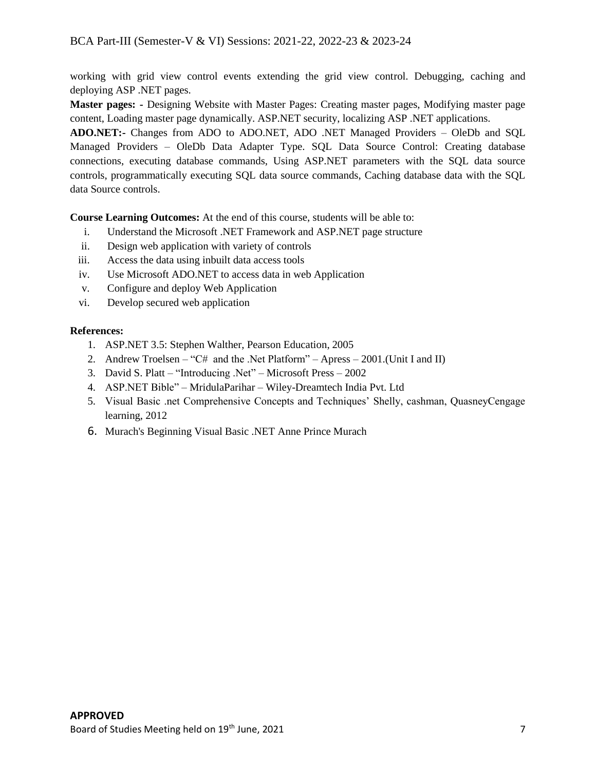working with grid view control events extending the grid view control. Debugging, caching and deploying ASP .NET pages.

**Master pages: -** Designing Website with Master Pages: Creating master pages, Modifying master page content, Loading master page dynamically. ASP.NET security, localizing ASP .NET applications.

**ADO.NET:-** Changes from ADO to ADO.NET, ADO .NET Managed Providers – OleDb and SQL Managed Providers – OleDb Data Adapter Type. SQL Data Source Control: Creating database connections, executing database commands, Using ASP.NET parameters with the SQL data source controls, programmatically executing SQL data source commands, Caching database data with the SQL data Source controls.

**Course Learning Outcomes:** At the end of this course, students will be able to:

- i. Understand the Microsoft .NET Framework and ASP.NET page structure
- ii. Design web application with variety of controls
- iii. Access the data using inbuilt data access tools
- iv. Use Microsoft ADO.NET to access data in web Application
- v. Configure and deploy Web Application
- vi. Develop secured web application

## **References:**

- 1. ASP.NET 3.5: Stephen Walther, Pearson Education, 2005
- 2. Andrew Troelsen "C# and the .Net Platform" Apress 2001.(Unit I and II)
- 3. David S. Platt "Introducing .Net" Microsoft Press 2002
- 4. ASP.NET Bible" MridulaParihar Wiley-Dreamtech India Pvt. Ltd
- 5. Visual Basic .net Comprehensive Concepts and Techniques' Shelly, cashman, QuasneyCengage learning, 2012
- 6. Murach's Beginning Visual Basic .NET Anne Prince Murach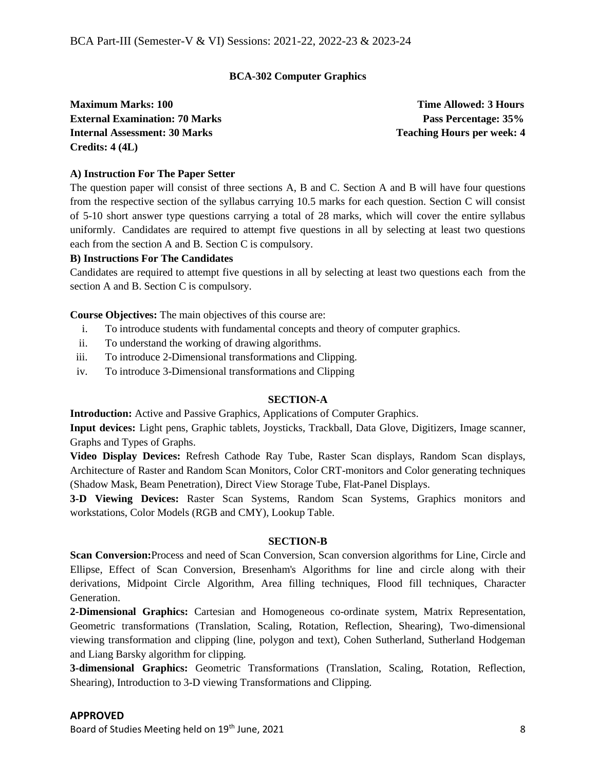## **BCA-302 Computer Graphics**

**Maximum Marks: 100 Time Allowed: 3 Hours External Examination: 70 Marks Pass Percentage: 35% Internal Assessment: 30 Marks Teaching Hours per week: 4 <b>Teaching Hours** per week: 4 **Credits: 4 (4L)**

## **A) Instruction For The Paper Setter**

The question paper will consist of three sections A, B and C. Section A and B will have four questions from the respective section of the syllabus carrying 10.5 marks for each question. Section C will consist of 5-10 short answer type questions carrying a total of 28 marks, which will cover the entire syllabus uniformly. Candidates are required to attempt five questions in all by selecting at least two questions each from the section A and B. Section C is compulsory.

## **B) Instructions For The Candidates**

Candidates are required to attempt five questions in all by selecting at least two questions each from the section A and B. Section C is compulsory.

**Course Objectives:** The main objectives of this course are:

- i. To introduce students with fundamental concepts and theory of computer graphics.
- ii. To understand the working of drawing algorithms.
- iii. To introduce 2-Dimensional transformations and Clipping.
- iv. To introduce 3-Dimensional transformations and Clipping

## **SECTION-A**

**Introduction:** Active and Passive Graphics, Applications of Computer Graphics.

**Input devices:** Light pens, Graphic tablets, Joysticks, Trackball, Data Glove, Digitizers, Image scanner, Graphs and Types of Graphs.

**Video Display Devices:** Refresh Cathode Ray Tube, Raster Scan displays, Random Scan displays, Architecture of Raster and Random Scan Monitors, Color CRT-monitors and Color generating techniques (Shadow Mask, Beam Penetration), Direct View Storage Tube, Flat-Panel Displays.

**3-D Viewing Devices:** Raster Scan Systems, Random Scan Systems, Graphics monitors and workstations, Color Models (RGB and CMY), Lookup Table.

#### **SECTION-B**

**Scan Conversion:**Process and need of Scan Conversion, Scan conversion algorithms for Line, Circle and Ellipse, Effect of Scan Conversion, Bresenham's Algorithms for line and circle along with their derivations, Midpoint Circle Algorithm, Area filling techniques, Flood fill techniques, Character Generation.

**2-Dimensional Graphics:** Cartesian and Homogeneous co-ordinate system, Matrix Representation, Geometric transformations (Translation, Scaling, Rotation, Reflection, Shearing), Two-dimensional viewing transformation and clipping (line, polygon and text), Cohen Sutherland, Sutherland Hodgeman and Liang Barsky algorithm for clipping.

**3-dimensional Graphics:** Geometric Transformations (Translation, Scaling, Rotation, Reflection, Shearing), Introduction to 3-D viewing Transformations and Clipping.

## **APPROVED**

Board of Studies Meeting held on 19<sup>th</sup> June, 2021 8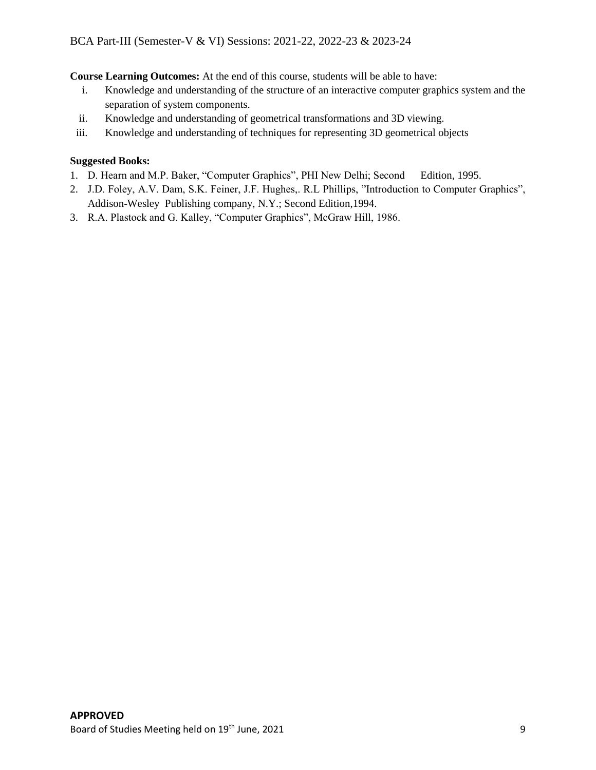**Course Learning Outcomes:** At the end of this course, students will be able to have:

- i. Knowledge and understanding of the structure of an interactive computer graphics system and the separation of system components.
- ii. Knowledge and understanding of geometrical transformations and 3D viewing.
- iii. Knowledge and understanding of techniques for representing 3D geometrical objects

## **Suggested Books:**

- 1. D. Hearn and M.P. Baker, "Computer Graphics", PHI New Delhi; Second Edition, 1995.
- 2. J.D. Foley, A.V. Dam, S.K. Feiner, J.F. Hughes,. R.L Phillips, "Introduction to Computer Graphics", Addison-Wesley Publishing company, N.Y.; Second Edition,1994.
- 3. R.A. Plastock and G. Kalley, "Computer Graphics", McGraw Hill, 1986.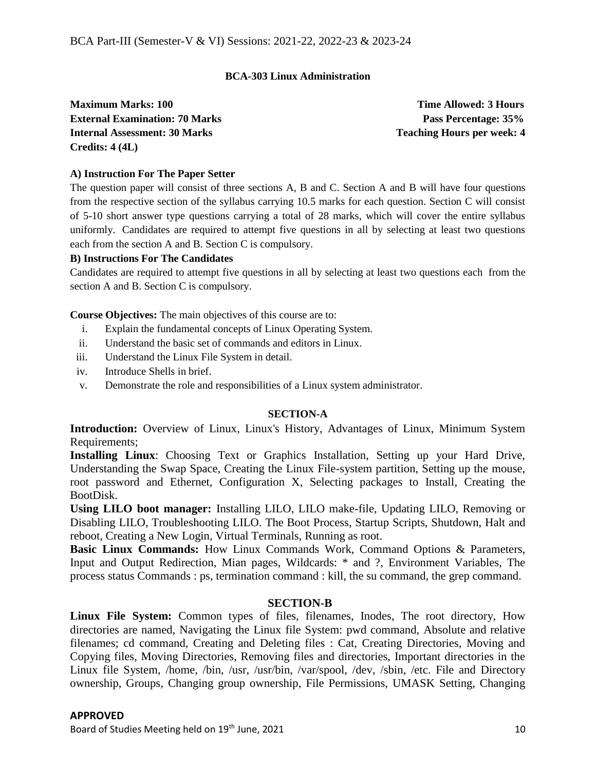## **BCA-303 Linux Administration**

**Maximum Marks: 100 Time Allowed: 3 Hours External Examination: 70 Marks Pass Percentage: 35% Internal Assessment: 30 Marks Teaching Hours per week: 4 <b>Teaching Hours** per week: 4 **Credits: 4 (4L)**

## **A) Instruction For The Paper Setter**

The question paper will consist of three sections A, B and C. Section A and B will have four questions from the respective section of the syllabus carrying 10.5 marks for each question. Section C will consist of 5-10 short answer type questions carrying a total of 28 marks, which will cover the entire syllabus uniformly. Candidates are required to attempt five questions in all by selecting at least two questions each from the section A and B. Section C is compulsory.

## **B) Instructions For The Candidates**

Candidates are required to attempt five questions in all by selecting at least two questions each from the section A and B. Section C is compulsory.

**Course Objectives:** The main objectives of this course are to:

- i. Explain the fundamental concepts of Linux Operating System.
- ii. Understand the basic set of commands and editors in Linux.
- iii. Understand the Linux File System in detail.
- iv. Introduce Shells in brief.
- v. Demonstrate the role and responsibilities of a Linux system administrator.

## **SECTION-A**

**Introduction:** Overview of Linux, Linux's History, Advantages of Linux, Minimum System Requirements;

**Installing Linux**: Choosing Text or Graphics Installation, Setting up your Hard Drive, Understanding the Swap Space, Creating the Linux File-system partition, Setting up the mouse, root password and Ethernet, Configuration X, Selecting packages to Install, Creating the BootDisk.

**Using LILO boot manager:** Installing LILO, LILO make-file, Updating LILO, Removing or Disabling LILO, Troubleshooting LILO. The Boot Process, Startup Scripts, Shutdown, Halt and reboot, Creating a New Login, Virtual Terminals, Running as root.

Basic Linux Commands: How Linux Commands Work, Command Options & Parameters, Input and Output Redirection, Mian pages, Wildcards: \* and ?, Environment Variables, The process status Commands : ps, termination command : kill, the su command, the grep command.

## **SECTION-B**

**Linux File System:** Common types of files, filenames, Inodes, The root directory, How directories are named, Navigating the Linux file System: pwd command, Absolute and relative filenames; cd command, Creating and Deleting files : Cat, Creating Directories, Moving and Copying files, Moving Directories, Removing files and directories, Important directories in the Linux file System, /home, /bin, /usr, /usr/bin, /var/spool, /dev, /sbin, /etc. File and Directory ownership, Groups, Changing group ownership, File Permissions, UMASK Setting, Changing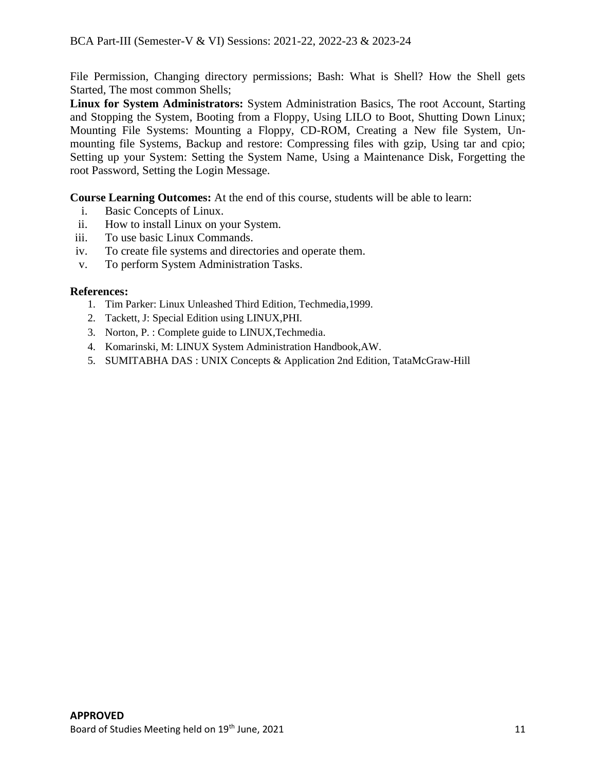File Permission, Changing directory permissions; Bash: What is Shell? How the Shell gets Started, The most common Shells;

**Linux for System Administrators:** System Administration Basics, The root Account, Starting and Stopping the System, Booting from a Floppy, Using LILO to Boot, Shutting Down Linux; Mounting File Systems: Mounting a Floppy, CD-ROM, Creating a New file System, Unmounting file Systems, Backup and restore: Compressing files with gzip, Using tar and cpio; Setting up your System: Setting the System Name, Using a Maintenance Disk, Forgetting the root Password, Setting the Login Message.

**Course Learning Outcomes:** At the end of this course, students will be able to learn:

- i. Basic Concepts of Linux.
- ii. How to install Linux on your System.
- iii. To use basic Linux Commands.
- iv. To create file systems and directories and operate them.
- v. To perform System Administration Tasks.

## **References:**

- 1. Tim Parker: Linux Unleashed Third Edition, Techmedia,1999.
- 2. Tackett, J: Special Edition using LINUX,PHI.
- 3. Norton, P. : Complete guide to LINUX,Techmedia.
- 4. Komarinski, M: LINUX System Administration Handbook,AW.
- 5. SUMITABHA DAS : UNIX Concepts & Application 2nd Edition, TataMcGraw-Hill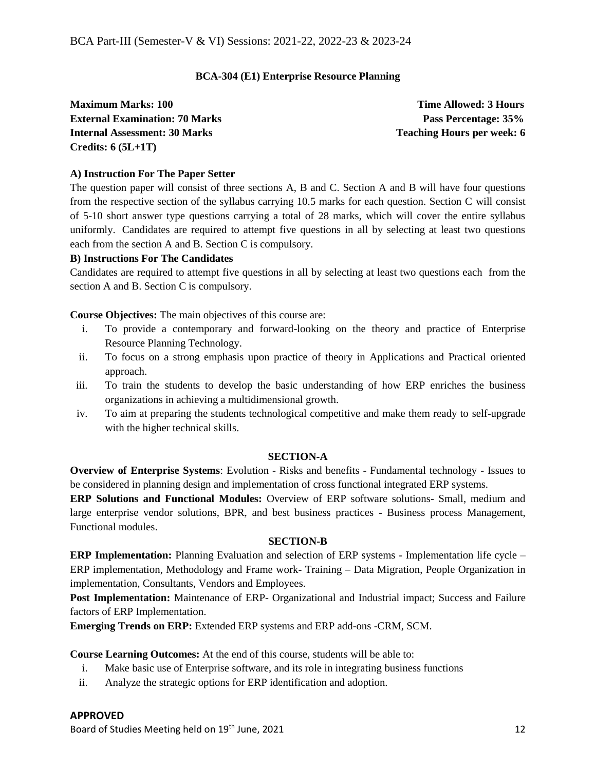## **BCA-304 (E1) Enterprise Resource Planning**

**Maximum Marks: 100 Time Allowed: 3 Hours External Examination: 70 Marks Pass Percentage: 35% Internal Assessment: 30 Marks Teaching Hours per week: 6 Credits: 6 (5L+1T)**

## **A) Instruction For The Paper Setter**

The question paper will consist of three sections A, B and C. Section A and B will have four questions from the respective section of the syllabus carrying 10.5 marks for each question. Section C will consist of 5-10 short answer type questions carrying a total of 28 marks, which will cover the entire syllabus uniformly. Candidates are required to attempt five questions in all by selecting at least two questions each from the section A and B. Section C is compulsory.

## **B) Instructions For The Candidates**

Candidates are required to attempt five questions in all by selecting at least two questions each from the section A and B. Section C is compulsory.

**Course Objectives:** The main objectives of this course are:

- i. To provide a contemporary and forward-looking on the theory and practice of Enterprise Resource Planning Technology.
- ii. To focus on a strong emphasis upon practice of theory in Applications and Practical oriented approach.
- iii. To train the students to develop the basic understanding of how ERP enriches the business organizations in achieving a multidimensional growth.
- iv. To aim at preparing the students technological competitive and make them ready to self-upgrade with the higher technical skills.

## **SECTION-A**

**Overview of Enterprise Systems**: Evolution - Risks and benefits - Fundamental technology - Issues to be considered in planning design and implementation of cross functional integrated ERP systems.

**ERP Solutions and Functional Modules:** Overview of ERP software solutions- Small, medium and large enterprise vendor solutions, BPR, and best business practices - Business process Management, Functional modules.

## **SECTION-B**

**ERP Implementation:** Planning Evaluation and selection of ERP systems - Implementation life cycle – ERP implementation, Methodology and Frame work- Training – Data Migration, People Organization in implementation, Consultants, Vendors and Employees.

**Post Implementation:** Maintenance of ERP- Organizational and Industrial impact; Success and Failure factors of ERP Implementation.

**Emerging Trends on ERP:** Extended ERP systems and ERP add-ons -CRM, SCM.

**Course Learning Outcomes:** At the end of this course, students will be able to:

- i. Make basic use of Enterprise software, and its role in integrating business functions
- ii. Analyze the strategic options for ERP identification and adoption.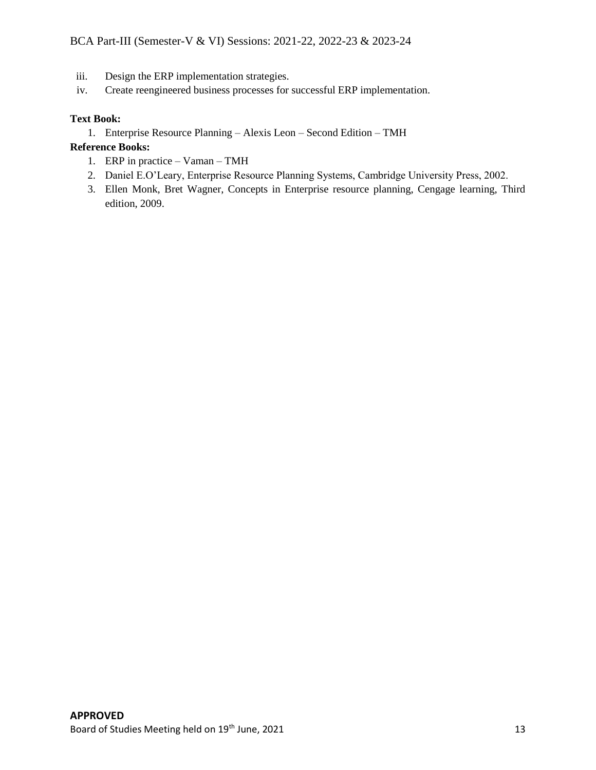- iii. Design the ERP implementation strategies.
- iv. Create reengineered business processes for successful ERP implementation.

## **Text Book:**

1. Enterprise Resource Planning – Alexis Leon – Second Edition – TMH

## **Reference Books:**

- 1. ERP in practice Vaman TMH
- 2. Daniel E.O'Leary, Enterprise Resource Planning Systems, Cambridge University Press, 2002.
- 3. Ellen Monk, Bret Wagner, Concepts in Enterprise resource planning, Cengage learning, Third edition, 2009.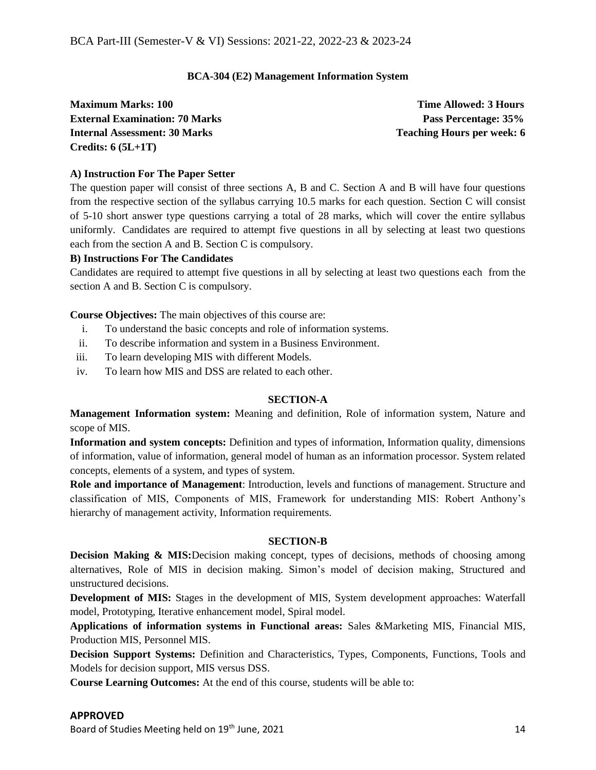## **BCA-304 (E2) Management Information System**

**Maximum Marks: 100 Time Allowed: 3 Hours External Examination: 70 Marks Pass Percentage: 35% Internal Assessment: 30 Marks Teaching Hours per week: 6 Credits: 6 (5L+1T)**

## **A) Instruction For The Paper Setter**

The question paper will consist of three sections A, B and C. Section A and B will have four questions from the respective section of the syllabus carrying 10.5 marks for each question. Section C will consist of 5-10 short answer type questions carrying a total of 28 marks, which will cover the entire syllabus uniformly. Candidates are required to attempt five questions in all by selecting at least two questions each from the section A and B. Section C is compulsory.

## **B) Instructions For The Candidates**

Candidates are required to attempt five questions in all by selecting at least two questions each from the section A and B. Section C is compulsory.

**Course Objectives:** The main objectives of this course are:

- i. To understand the basic concepts and role of information systems.
- ii. To describe information and system in a Business Environment.
- iii. To learn developing MIS with different Models.
- iv. To learn how MIS and DSS are related to each other.

## **SECTION-A**

**Management Information system:** Meaning and definition, Role of information system, Nature and scope of MIS.

**Information and system concepts:** Definition and types of information, Information quality, dimensions of information, value of information, general model of human as an information processor. System related concepts, elements of a system, and types of system.

**Role and importance of Management**: Introduction, levels and functions of management. Structure and classification of MIS, Components of MIS, Framework for understanding MIS: Robert Anthony's hierarchy of management activity, Information requirements.

## **SECTION-B**

**Decision Making & MIS:**Decision making concept, types of decisions, methods of choosing among alternatives, Role of MIS in decision making. Simon's model of decision making, Structured and unstructured decisions.

**Development of MIS:** Stages in the development of MIS, System development approaches: Waterfall model, Prototyping, Iterative enhancement model, Spiral model.

**Applications of information systems in Functional areas:** Sales &Marketing MIS, Financial MIS, Production MIS, Personnel MIS.

**Decision Support Systems:** Definition and Characteristics, Types, Components, Functions, Tools and Models for decision support, MIS versus DSS.

**Course Learning Outcomes:** At the end of this course, students will be able to: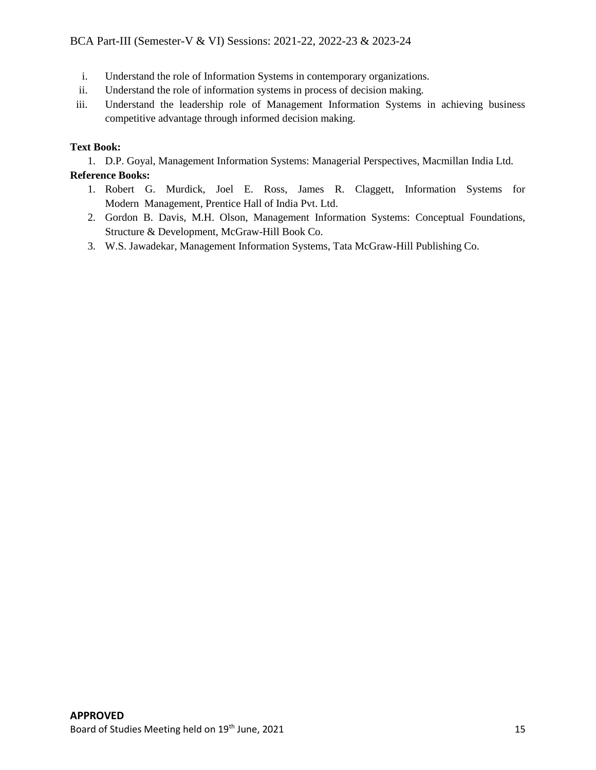- i. Understand the role of Information Systems in contemporary organizations.
- ii. Understand the role of information systems in process of decision making.
- iii. Understand the leadership role of Management Information Systems in achieving business competitive advantage through informed decision making.

## **Text Book:**

1. D.P. Goyal, Management Information Systems: Managerial Perspectives, Macmillan India Ltd.

## **Reference Books:**

- 1. Robert G. Murdick, Joel E. Ross, James R. Claggett, Information Systems for Modern Management, Prentice Hall of India Pvt. Ltd.
- 2. Gordon B. Davis, M.H. Olson, Management Information Systems: Conceptual Foundations, Structure & Development, McGraw-Hill Book Co.
- 3. W.S. Jawadekar, Management Information Systems, Tata McGraw-Hill Publishing Co.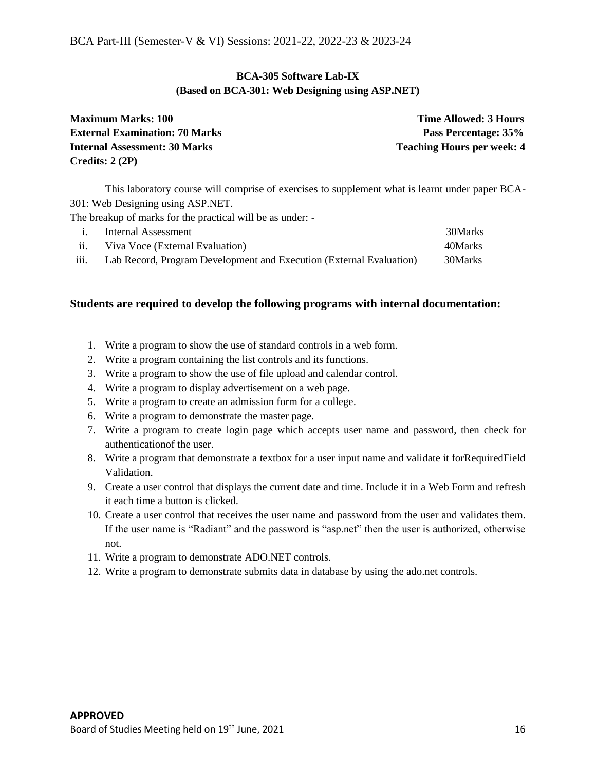## **BCA-305 Software Lab-IX (Based on BCA-301: Web Designing using ASP.NET)**

| <b>Maximum Marks: 100</b>             | <b>Time Allowed: 3 Hours</b>      |
|---------------------------------------|-----------------------------------|
| <b>External Examination: 70 Marks</b> | Pass Percentage: 35%              |
| <b>Internal Assessment: 30 Marks</b>  | <b>Teaching Hours per week: 4</b> |
| Credits: $2(2P)$                      |                                   |

This laboratory course will comprise of exercises to supplement what is learnt under paper BCA-301: Web Designing using ASP.NET.

The breakup of marks for the practical will be as under: -

|                   | Internal Assessment                                                 | 30Marks |
|-------------------|---------------------------------------------------------------------|---------|
| $\overline{11}$ . | Viva Voce (External Evaluation)                                     | 40Marks |
| iii.              | Lab Record, Program Development and Execution (External Evaluation) | 30Marks |

- 1. Write a program to show the use of standard controls in a web form.
- 2. Write a program containing the list controls and its functions.
- 3. Write a program to show the use of file upload and calendar control.
- 4. Write a program to display advertisement on a web page.
- 5. Write a program to create an admission form for a college.
- 6. Write a program to demonstrate the master page.
- 7. Write a program to create login page which accepts user name and password, then check for authenticationof the user.
- 8. Write a program that demonstrate a textbox for a user input name and validate it forRequiredField Validation.
- 9. Create a user control that displays the current date and time. Include it in a Web Form and refresh it each time a button is clicked.
- 10. Create a user control that receives the user name and password from the user and validates them. If the user name is "Radiant" and the password is "asp.net" then the user is authorized, otherwise not.
- 11. Write a program to demonstrate ADO.NET controls.
- 12. Write a program to demonstrate submits data in database by using the ado.net controls.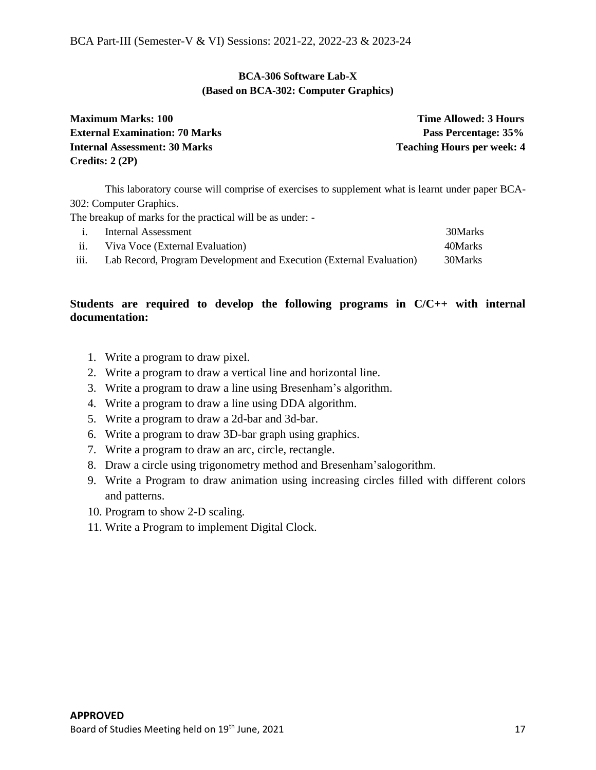## **BCA-306 Software Lab-X (Based on BCA-302: Computer Graphics)**

| <b>Maximum Marks: 100</b>             | Time Allowed: 3 Hours             |
|---------------------------------------|-----------------------------------|
| <b>External Examination: 70 Marks</b> | Pass Percentage: 35%              |
| <b>Internal Assessment: 30 Marks</b>  | <b>Teaching Hours per week: 4</b> |
| Credits: $2(2P)$                      |                                   |

This laboratory course will comprise of exercises to supplement what is learnt under paper BCA-302: Computer Graphics.

The breakup of marks for the practical will be as under: -

|      | Internal Assessment                                                 | 30Marks |
|------|---------------------------------------------------------------------|---------|
| ii.  | Viva Voce (External Evaluation)                                     | 40Marks |
| iii. | Lab Record, Program Development and Execution (External Evaluation) | 30Marks |

## **Students are required to develop the following programs in C/C++ with internal documentation:**

- 1. Write a program to draw pixel.
- 2. Write a program to draw a vertical line and horizontal line.
- 3. Write a program to draw a line using Bresenham's algorithm.
- 4. Write a program to draw a line using DDA algorithm.
- 5. Write a program to draw a 2d-bar and 3d-bar.
- 6. Write a program to draw 3D-bar graph using graphics.
- 7. Write a program to draw an arc, circle, rectangle.
- 8. Draw a circle using trigonometry method and Bresenham'salogorithm.
- 9. Write a Program to draw animation using increasing circles filled with different colors and patterns.
- 10. Program to show 2-D scaling.
- 11. Write a Program to implement Digital Clock.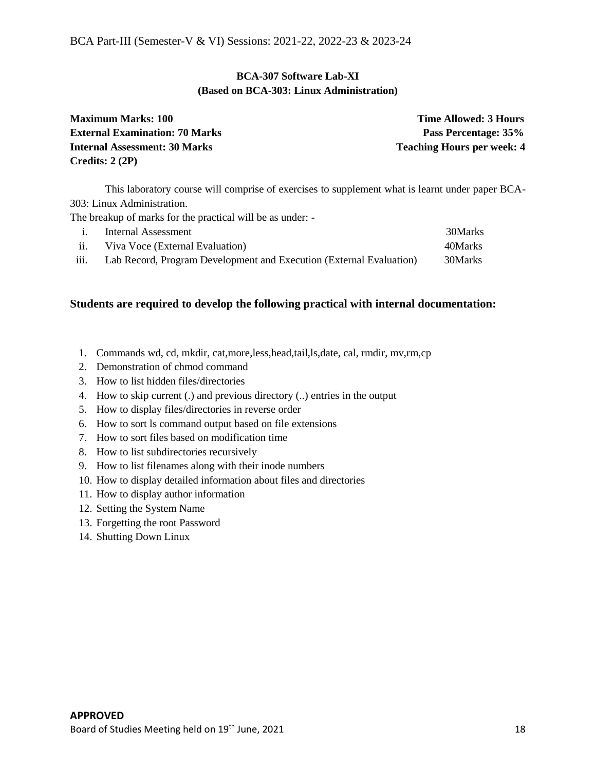## **BCA-307 Software Lab-XI (Based on BCA-303: Linux Administration)**

| <b>Maximum Marks: 100</b>             | <b>Time Allowed: 3 Hours</b>      |
|---------------------------------------|-----------------------------------|
| <b>External Examination: 70 Marks</b> | Pass Percentage: 35%              |
| <b>Internal Assessment: 30 Marks</b>  | <b>Teaching Hours per week: 4</b> |
| Credits: $2(2P)$                      |                                   |

This laboratory course will comprise of exercises to supplement what is learnt under paper BCA-303: Linux Administration.

The breakup of marks for the practical will be as under: -

|                   | Internal Assessment                                                 | 30Marks |
|-------------------|---------------------------------------------------------------------|---------|
| $\overline{11}$ . | Viva Voce (External Evaluation)                                     | 40Marks |
| iii.              | Lab Record, Program Development and Execution (External Evaluation) | 30Marks |

- 1. Commands wd, cd, mkdir, cat,more,less,head,tail,ls,date, cal, rmdir, mv,rm,cp
- 2. Demonstration of chmod command
- 3. How to list hidden files/directories
- 4. How to skip current (.) and previous directory (..) entries in the output
- 5. How to display files/directories in reverse order
- 6. How to sort ls command output based on file extensions
- 7. How to sort files based on modification time
- 8. How to list subdirectories recursively
- 9. How to list filenames along with their inode numbers
- 10. How to display detailed information about files and directories
- 11. How to display author information
- 12. Setting the System Name
- 13. Forgetting the root Password
- 14. Shutting Down Linux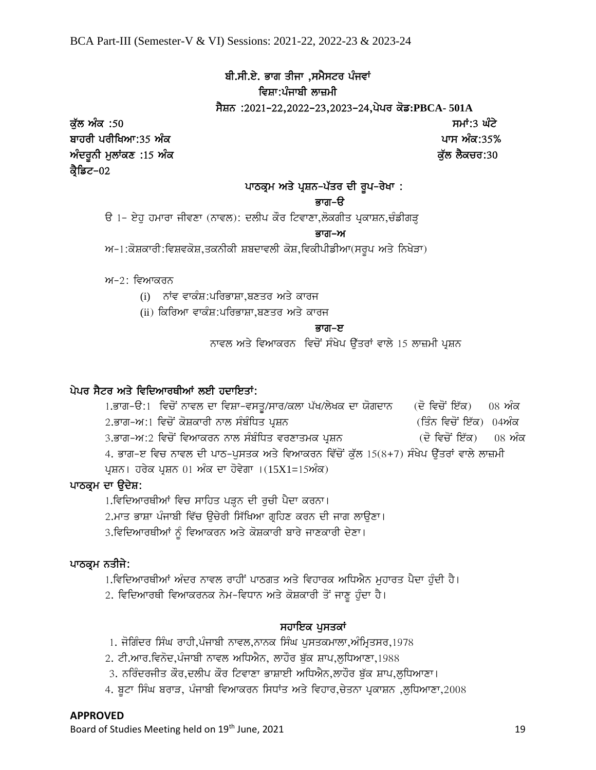## ਬੀ.ਸੀ.ਏ. ਭਾਗ ਤੀਜਾ ,ਸਮੈਸਟਰ ਪੰਜਵਾਂ ਵਿਸ਼ਾ:ਪੰਜਾਬੀ ਲਾਜ਼ਮੀ

sYSn :2021-22,2022-23,2023-24,pypr kof**:PBCA- 501A**

ਕੁੱਲ ਅੰਕ :50 ਤਿਆਰ ਦੀ ਸਮਾਂ:3 ਘੱਟੇ ਬਾਹਰੀ ਪਰੀਖਿਆ:35 ਅੰਕ $\,$ ਬਾਹਰੀ ਪਰੀਖਿਆ:35%  $\,$ AMdrUnI mulWkx :15 AMk ku`l lYkcr:30 ਕ੍ਰੈਡਿਟ–02

## ਪਾਠਕ੍ਰਮ ਅਤੇ ਪ੍ਰਸ਼ਨ-ਪੱਤਰ ਦੀ ਰੂਪ-ਰੇਖਾ :

#### ਕਾਰਾ – ਸਮਾਜ ਕਰਨ ਦਾ ਸਾਹਮਣਾ ਸ਼ਾਮਲ ਕਾਰਾ-ਓ

ਓ 1- ਏਹੁ ਹਮਾਰਾ ਜੀਵਣਾ (ਨਾਵਲ): ਦਲੀਪ ਕੌਰ ਟਿਵਾਣਾ,ਲੋਕਗੀਤ ਪ੍ਰਕਾਸ਼ਨ,ਚੰਡੀਗੜ੍ਹ

#### Bwg-A

 $M-1:$ ਕੋਸ਼ਕਾਰੀ:ਵਿਸ਼ਵਕੋਸ਼,ਤਕਨੀਕੀ ਸ਼ਬਦਾਵਲੀ ਕੋਸ਼,ਵਿਕੀਪੀਡੀਆ(ਸਰੂਪ ਅਤੇ ਨਿਖੇੜਾ)

 $w-2$ : ਵਿਆਕਰਨ

- (i) ਨਾਂਵ ਵਾਕੰਸ਼:ਪਰਿਭਾਸ਼ਾ,ਬਣਤਰ ਅਤੇ ਕਾਰਜ
- (ii) ਕਿਰਿਆ ਵਾਕੰਸ਼:ਪਰਿਭਾਸ਼ਾ,ਬਣਤਰ ਅਤੇ ਕਾਰਜ

#### ਬਾਰ ਕਰ ਕਰਨ ਦਾ ਸ਼ਾਹਮਣਾ ਦੀ ਸ਼ਹਿਰ ਕਰ ਕਰ ਕਰ ਦਿੱਤਾ ਹੈ। ਇਸ ਦੇਖ ਦੇਖ ਦੇਖ ਦੇਖ ਦੀ ਸ਼ਹਿਰ ਕਰ ਕਰ ਦਿੱਤਾ ਹੈ। ਇਸ ਦੇਖ ਦੀ ਸ਼ਹਿਰ ਕ

ਨਾਵਲ ਅਤੇ ਵਿਆਕਰਨ ਵਿਚੋਂ ਸੰਖੇਪ ਉੱਤਰਾਂ ਵਾਲੇ 15 ਲਾਜ਼ਮੀ ਪੁਸ਼ਨ

## ਪੇਪਰ ਸੈਟਰ ਅਤੇ ਵਿਦਿਆਰਥੀਆਂ ਲਈ ਹਦਾਇਤਾਂ:

1.ਭਾਗ-ੳ:1 ਵਿਚੋਂ ਨਾਵਲ ਦਾ ਵਿਸ਼ਾ-ਵਸਤੂ/ਸਾਰ/ਕਲਾ ਪੱਖ/ਲੇਖਕ ਦਾ ਯੋਗਦਾਨ (ਦੋ ਵਿਚੋਂ ਇੱਕ) 08 ਅੰਕ 2.ਭਾਗ-ਅ:1 ਵਿਚੋਂ ਕੋਸ਼ਕਾਰੀ ਨਾਲ ਸੰਬੰਧਿਤ ਪ੍ਰਸ਼ਨ (ਤਿੰਨ ਵਿਚੋਂ ਇੱਕ) 04ਅੰਕ 3.ਭਾਗ-ਅ:2 ਵਿਚੋਂ ਵਿਆਕਰਨ ਨਾਲ ਸੰਬੰਧਿਤ ਵਰਣਾਤਮਕ ਪ੍ਰਸ਼ਨ (ਦੋ ਵਿਚੋਂ ਇੱਕ) 08 ਅੰਕ 4. ਭਾਗ-ੲ ਵਿਚ ਨਾਵਲ ਦੀ ਪਾਠ-ਪੁਸਤਕ ਅਤੇ ਵਿਆਕਰਨ ਵਿੱਚੋਂ ਕੁੱਲ 15(8+7) ਸੰਖੇਪ ਉੱਤਰਾਂ ਵਾਲੇ ਲਾਜ਼ਮੀ ਪ੍ਰਸ਼ਨ। ਹਰੇਕ ਪ੍ਰਸ਼ਨ 01 ਅੰਕ ਦਾ ਹੋਵੇਗਾ । $(15X1=15n\alpha)$ 

## ਪਾਠਕ੍ਰਮ ਦਾ ਉਦੇਸ਼:

1.ਵਿਦਿਆਰਥੀਆਂ ਵਿਚ ਸਾਹਿਤ ਪੜ੍ਹਨ ਦੀ ਰੁਚੀ ਪੈਦਾ ਕਰਨਾ।

2.ਮਾਤ ਭਾਸ਼ਾ ਪੰਜਾਬੀ ਵਿੱਚ ਉਚੇਰੀ ਸਿੱਖਿਆ ਗ੍ਰਹਿਣ ਕਰਨ ਦੀ ਜਾਗ ਲਾਉਣਾ।

3.ਵਿਦਿਆਰਥੀਆਂ ਨੂੰ ਵਿਆਕਰਨ ਅਤੇ ਕੋਸ਼ਕਾਰੀ ਬਾਰੇ ਜਾਣਕਾਰੀ ਦੇਣਾ।

## ਪਾਠਕ੍ਰਮ ਨਤੀਜੇ:

1.ਵਿਦਿਆਰਥੀਆਂ ਅੰਦਰ ਨਾਵਲ ਰਾਹੀਂ ਪਾਠਗਤ ਅਤੇ ਵਿਹਾਰਕ ਅਧਿਐਨ ਮੁਹਾਰਤ ਪੈਦਾ ਹੁੰਦੀ ਹੈ।

2. ਵਿਦਿਆਰਥੀ ਵਿਆਕਰਨਕ ਨੇਮ-ਵਿਧਾਨ ਅਤੇ ਕੋਸ਼ਕਾਰੀ ਤੋਂ ਜਾਣੂ ਹੁੰਦਾ ਹੈ।

## ਸਹਾਇਕ ਪਸਤਕਾਂ

1. ਜੋਗਿੰਦਰ ਸਿੰਘ ਰਾਹੀ,ਪੰਜਾਬੀ ਨਾਵਲ,ਨਾਨਕ ਸਿੰਘ ਪਸਤਕਮਾਲਾ,ਅੰਮ੍ਰਿਤਸਰ,1978

2. ਟੀ.ਆਰ.ਵਿਨੋਦ,ਪੰਜਾਬੀ ਨਾਵਲ ਅਧਿਐਨ, ਲਾਹੌਰ ਬੁੱਕ ਸ਼ਾਪ,ਲੁਧਿਆਣਾ,1988

3. ਨਰਿੰਦਰਜੀਤ ਕੌਰ,ਦਲੀਪ ਕੌਰ ਟਿਵਾਣਾ ਭਾਸ਼ਾਈ ਅਧਿਐਨ,ਲਾਹੌਰ ਬੁੱਕ ਸ਼ਾਪ,ਲੁਧਿਆਣਾ।

4. ਬੂਟਾ ਸਿੰਘ ਬਰਾੜ, ਪੰਜਾਬੀ ਵਿਆਕਰਨ ਸਿਧਾਂਤ ਅਤੇ ਵਿਹਾਰ,ਚੇਤਨਾ ਪ੍ਰਕਾਸ਼ਨ ,ਲੁਧਿਆਣਾ,2008

## **APPROVED**

Board of Studies Meeting held on 19<sup>th</sup> June, 2021 19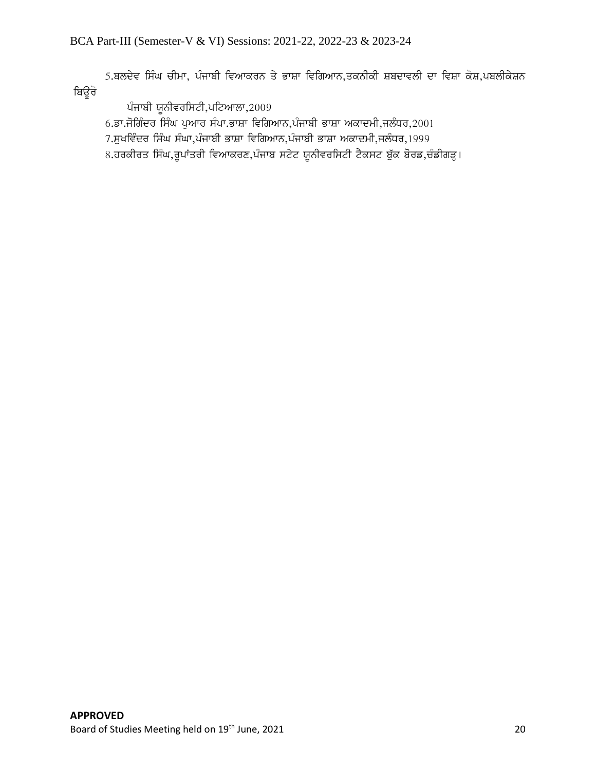5.ਬਲਦੇਵ ਸਿੰਘ ਚੀਮਾ, ਪੰਜਾਬੀ ਵਿਆਕਰਨ ਤੇ ਭਾਸ਼ਾ ਵਿਗਿਆਨ,ਤਕਨੀਕੀ ਸ਼ਬਦਾਵਲੀ ਦਾ ਵਿਸ਼ਾ ਕੋਸ਼,ਪਬਲੀਕੇਸ਼ਨ ਬਿਊਰੋ

ਪੰਜਾਬੀ ਯੂਨੀਵਰਸਿਟੀ,ਪਟਿਆਲਾ, $2009$ 

 $6.$ ਡਾ.ਜੋਗਿੰਦਰ ਸਿੰਘ ਪਆਰ ਸੰਪਾ.ਭਾਸ਼ਾ ਵਿਗਿਆਨ,ਪੰਜਾਬੀ ਭਾਸ਼ਾ ਅਕਾਦਮੀ,ਜਲੰਧਰ,2001

7.ਸੁਖਵਿੰਦਰ ਸਿੰਘ ਸੰਘਾ,ਪੰਜਾਬੀ ਭਾਸ਼ਾ ਵਿਗਿਆਨ,ਪੰਜਾਬੀ ਭਾਸ਼ਾ ਅਕਾਦਮੀ,ਜਲੰਧਰ,1999

8.ਹਰਕੀਰਤ ਸਿੰਘ,ਰੁਪਾਂਤਰੀ ਵਿਆਕਰਣ,ਪੰਜਾਬ ਸਟੇਟ ਯੂਨੀਵਰਸਿਟੀ ਟੈਕਸਟ ਬੁੱਕ ਬੋਰਡ,ਚੰਡੀਗੜ੍ਹ।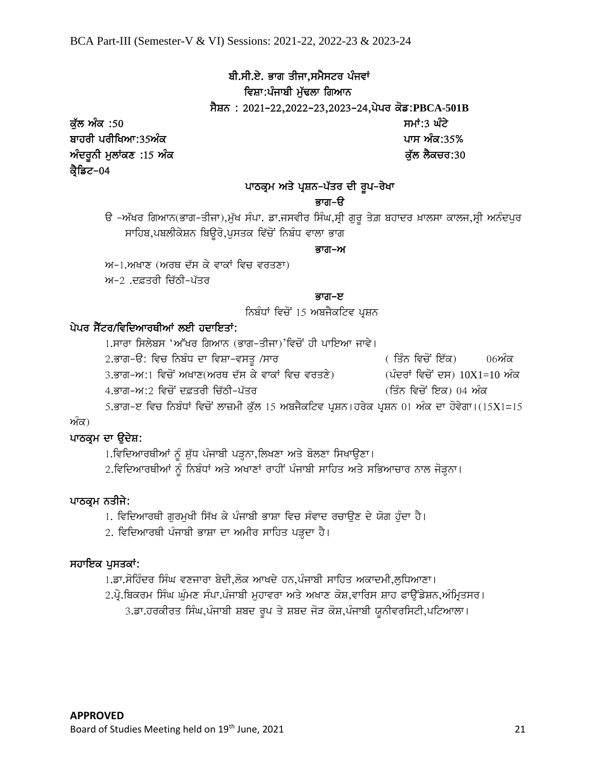## ਬੀ.ਸੀ.ਏ. ਭਾਗ ਤੀਜਾ,ਸਮੈਸਟਰ ਪੰਜਵਾਂ ਵਿਸ਼ਾ:ਪੰਜਾਬੀ ਮੱਢਲਾ ਗਿਆਨ

ਸੈਸ਼ਨ: 2021-22,2022-23,2023-24,ਪੇਪਰ ਕੋਡ:PBCA-501B

ਕੁੱਲ ਅੰਕ :50 ਤਿਆਰ ਦੀ ਸਮਾਂ:3 ਘੰਟੇ ਬਾਹਰੀ ਪਰੀਖਿਆ:35ਅੰਕ $\,$ ਬਾਹਰੀ ਪਰੀਖਿਆ:35%  $\,$ AMdrUnI mulWkx :15 AMk ku`l lYkcr:30 ਕ੍ਰੈਡਿਟ–04

## ਪਾਠਕ੍ਰਮ ਅਤੇ ਪ੍ਰਸ਼ਨ-ਪੱਤਰ ਦੀ ਰੂਪ-ਰੇਖਾ

## ਭਾਗ–ੳ

ਓ –ਅੱਖਰ ਗਿਆਨ(ਭਾਗ–ਤੀਜਾ),ਮੁੱਖ ਸੰਪਾ. ਡਾ.ਜਸਵੀਰ ਸਿੰਘ,ਸ੍ਰੀ ਗੁਰੂ ਤੇਗ਼ ਬਹਾਦਰ ਖ਼ਾਲਸਾ ਕਾਲਜ,ਸ੍ਰੀ ਅਨੰਦਪੁਰ ਸਾਹਿਬ,ਪਬਲੀਕੇਸ਼ਨ ਬਿਉਰੋ,ਪੁਸਤਕ ਵਿੱਚੋਂ ਨਿਬੰਧ ਵਾਲਾ ਭਾਗ

## ਬਾਰੀ–ਅਮਰੀਕਾਰ ਦਾ ਸੰਭਾਵਿਤ ਸ਼ਾਮਿਲ ਦੀ ਸ਼ਾਮਿਲ ਦੀ ਸ਼ਾਮਿਲ ਦੀ ਸ਼ਾਮਿਲ ਦੀ ਸ਼ਾਮਿਲ ਦੀ ਸ਼ਾਮਿਲ ਦੀ ਸ਼ਾਮਿਲ ਦੀ ਸ਼ਾਮਿਲ ਦੀ ਸ਼ਾਮਿਲ<br>ਸ਼ਾਮਿਲ ਦੀ ਸ਼ਾਮਿਲ ਦੀ ਸ਼ਾਮਿਲ ਦੀ ਸ਼ਾਮਿਲ ਦੀ ਸ਼ਾਮਿਲ ਦੀ ਸ਼ਾਮਿਲ ਦੀ ਸ਼ਾਮਿਲ ਦੀ ਸ਼ਾਮਿਲ ਦੀ ਸ਼ਾਮਿਲ ਦੀ ਸ਼ਾਮਿਲ ਦੀ ਸ਼ਾਮਿਲ ਦੀ

 $M-1$ .ਅਖਾਣ (ਅਰਥ ਦੱਸ ਕੇ ਵਾਕਾਂ ਵਿਚ ਵਰਤਣਾ)

 $m-2$ ੁਦਫ਼ਤਰੀ ਜਿੱਨੀ–ਪੱਤਰ

## ਬਾਰ ਸਮਾਜ ਕਰਨ ਦਾ ਸ਼ਾਮਲ ਕਰਨ ਦੀ ਸ਼ਾਮਲ ਕਰ ਦਿੱਤਾ ਹੈ। ਇਸ ਦੇ ਸ਼ਾਮਲ ਕਰ ਦਿੱਤਾ ਹੈ। ਇਸ ਦੇ ਸ਼ਾਮਲ ਕਰ ਦਿੱਤਾ ਹੈ। ਇਸ ਦੇ ਸ਼ਾਮਲ ਕ

ਨਿਬੰਧਾਂ ਵਿਚੋਂ 15 ਅਬਜੈਕਟਿਵ ਪੁਸ਼ਨ

## ਪੇਪਰ ਸੈੱਟਰ/ਵਿਦਿਆਰਥੀਆਂ ਲਈ ਹਦਾਇਤਾਂ:

1.ਸਾਰਾ ਸਿਲੇਬਸ 'ਅੱਖਰ ਗਿਆਨ (ਭਾਗ-ਤੀਜਾ)'ਵਿਚੋਂ ਹੀ ਪਾਇਆ ਜਾਵੇ। 2.ਭਾਗ-ੳ: ਵਿਚ ਨਿਬੰਧ ਦਾ ਵਿਸ਼ਾ-ਵਸਤੁ /ਸਾਰ ( ਤਿੰਨ ਵਿਚੋਂ ਇੱਕ) 06ਅੰਕ 3.ਭਾਗ-ਅ:1 ਵਿਚੋਂ ਅਖਾਣ(ਅਰਥ ਦੱਸ ਕੇ ਵਾਕਾਂ ਵਿਚ ਵਰਤਣੇ)  $($ ਪੰਦਰਾਂ ਵਿਚੋਂ ਦਸ)  $10X1=10$  ਅੰਕ 4.ਭਾਗ–ਅ:2 ਵਿਚੋਂ ਦਫ਼ਤਰੀ ਚਿੱਠੀ–ਪੱਤਰ (ਤਿੰਨ ਵਿਚੋਂ ਇਕ) 04 ਅੰਕ 5.ਭਾਗ-ੲ ਵਿਚ ਨਿਬੰਧਾਂ ਵਿਚੋਂ ਲਾਜ਼ਮੀ ਕੁੱਲ 15 ਅਬਜੈਕਟਿਵ ਪ੍ਰਸ਼ਨ।ਹਰੇਕ ਪ੍ਰਸ਼ਨ 01 ਅੰਕ ਦਾ ਹੋਵੇਗਾ।(15X1=15

## ਅੰਕ)

## ਪਾਠਕ੍ਰਮ ਦਾ ਉਦੇਸ਼:

1.ਵਿਦਿਆਰਥੀਆਂ ਨੂੰ ਸ਼ੁੱਧ ਪੰਜਾਬੀ ਪੜ੍ਹਨਾ,ਲਿਖਣਾ ਅਤੇ ਬੋਲਣਾ ਸਿਖਾਉਣਾ।

 $2.\overline{\text{f}}$ ਵਿਦਿਆਰਥੀਆਂ ਨੂੰ ਨਿਬੰਧਾਂ ਅਤੇ ਅਖਾਣਾਂ ਰਾਹੀਂ ਪੰਜਾਬੀ ਸਾਹਿਤ ਅਤੇ ਸਭਿਆਚਾਰ ਨਾਲ ਜੋੜ੍ਹਨਾ।

## ਪਾਠਕੁਮ ਨਤੀਜੇ:

1. ਵਿਦਿਆਰਥੀ ਗੁਰਮੁਖੀ ਸਿੱਖ ਕੇ ਪੰਜਾਬੀ ਭਾਸ਼ਾ ਵਿਚ ਸੰਵਾਦ ਰਚਾਉਣ ਦੇ ਯੋਗ ਹੁੰਦਾ ਹੈ।

2. ਵਿਦਿਆਰਥੀ ਪੰਜਾਬੀ ਭਾਸ਼ਾ ਦਾ ਅਮੀਰ ਸਾਹਿਤ ਪੜ੍ਹਦਾ ਹੈ।

## ਸਹਾਇਕ ਪਸਤਕਾਂ:

1.ਡਾ.ਸੋਹਿੰਦਰ ਸਿੰਘ ਵਣਜਾਰਾ ਬੇਦੀ,ਲੋਕ ਆਖਦੇ ਹਨ,ਪੰਜਾਬੀ ਸਾਹਿਤ ਅਕਾਦਮੀ,ਲਧਿਆਣਾ।

 $2.\vec{q}.$ ਬਿਕਰਮ ਸਿੰਘ ਘੁੰਮਣ ਸੰਪਾ.ਪੰਜਾਬੀ ਮੁਹਾਵਰਾ ਅਤੇ ਅਖਾਣ ਕੋਸ਼,ਵਾਰਿਸ ਸ਼ਾਹ ਫਾਉਂਡੇਸ਼ਨ,ਅੰਮ੍ਰਿਤਸਰ।

3.ਡਾ.ਹਰਕੀਰਤ ਸਿੰਘ,ਪੰਜਾਬੀ ਸ਼ਬਦ ਰੂਪ ਤੇ ਸ਼ਬਦ ਜੋੜ ਕੋਸ਼,ਪੰਜਾਬੀ ਯੂਨੀਵਰਸਿਟੀ,ਪਟਿਆਲਾ।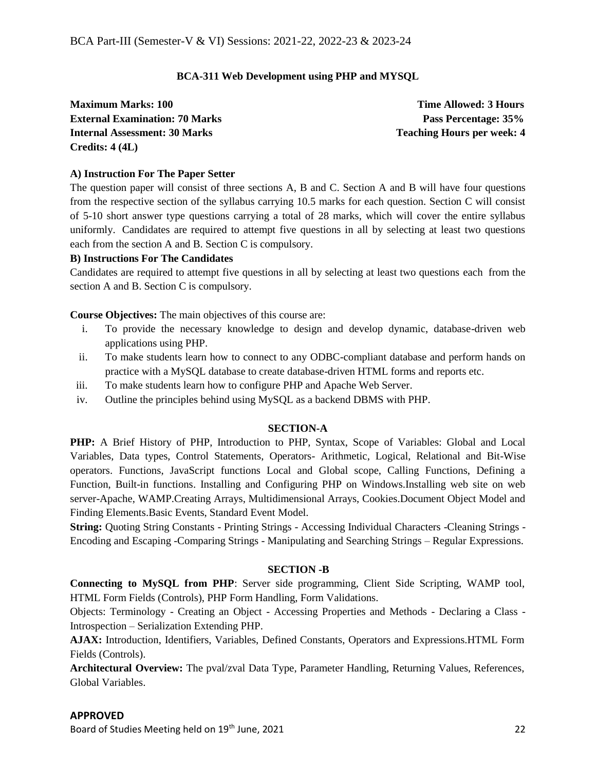## **BCA-311 Web Development using PHP and MYSQL**

**Maximum Marks: 100 Time Allowed: 3 Hours External Examination: 70 Marks Pass Percentage: 35% Internal Assessment: 30 Marks Teaching Hours per week: 4 <b>Teaching Hours** per week: 4 **Credits: 4 (4L)**

## **A) Instruction For The Paper Setter**

The question paper will consist of three sections A, B and C. Section A and B will have four questions from the respective section of the syllabus carrying 10.5 marks for each question. Section C will consist of 5-10 short answer type questions carrying a total of 28 marks, which will cover the entire syllabus uniformly. Candidates are required to attempt five questions in all by selecting at least two questions each from the section A and B. Section C is compulsory.

## **B) Instructions For The Candidates**

Candidates are required to attempt five questions in all by selecting at least two questions each from the section A and B. Section C is compulsory.

**Course Objectives:** The main objectives of this course are:

- i. To provide the necessary knowledge to design and develop dynamic, database-driven web applications using PHP.
- ii. To make students learn how to connect to any ODBC-compliant database and perform hands on practice with a MySQL database to create database-driven HTML forms and reports etc.
- iii. To make students learn how to configure PHP and Apache Web Server.
- iv. Outline the principles behind using MySQL as a backend DBMS with PHP.

## **SECTION-A**

**PHP:** A Brief History of PHP, Introduction to PHP, Syntax, Scope of Variables: Global and Local Variables, Data types, Control Statements, Operators- Arithmetic, Logical, Relational and Bit-Wise operators. Functions, JavaScript functions Local and Global scope, Calling Functions, Defining a Function, Built-in functions. Installing and Configuring PHP on Windows.Installing web site on web server-Apache, WAMP.Creating Arrays, Multidimensional Arrays, Cookies.Document Object Model and Finding Elements.Basic Events, Standard Event Model.

**String:** Quoting String Constants - Printing Strings - Accessing Individual Characters -Cleaning Strings - Encoding and Escaping -Comparing Strings - Manipulating and Searching Strings – Regular Expressions.

## **SECTION -B**

**Connecting to MySQL from PHP**: Server side programming, Client Side Scripting, WAMP tool, HTML Form Fields (Controls), PHP Form Handling, Form Validations.

Objects: Terminology - Creating an Object - Accessing Properties and Methods - Declaring a Class - Introspection – Serialization Extending PHP.

**AJAX:** Introduction, Identifiers, Variables, Defined Constants, Operators and Expressions.HTML Form Fields (Controls).

**Architectural Overview:** The pval/zval Data Type, Parameter Handling, Returning Values, References, Global Variables.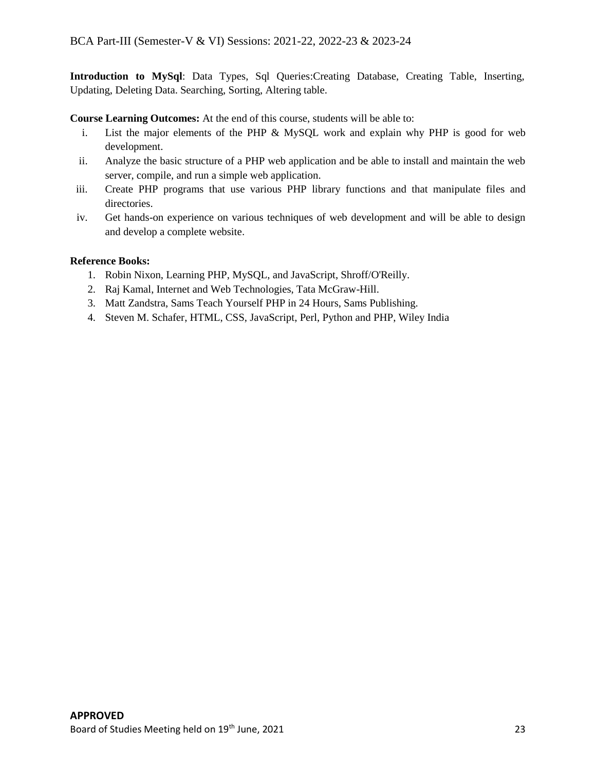**Introduction to MySql**: Data Types, Sql Queries:Creating Database, Creating Table, Inserting, Updating, Deleting Data. Searching, Sorting, Altering table.

**Course Learning Outcomes:** At the end of this course, students will be able to:

- i. List the major elements of the PHP & MySQL work and explain why PHP is good for web development.
- ii. Analyze the basic structure of a PHP web application and be able to install and maintain the web server, compile, and run a simple web application.
- iii. Create PHP programs that use various PHP library functions and that manipulate files and directories.
- iv. Get hands-on experience on various techniques of web development and will be able to design and develop a complete website.

## **Reference Books:**

- 1. Robin Nixon, Learning PHP, MySQL, and JavaScript, Shroff/O'Reilly.
- 2. Raj Kamal, Internet and Web Technologies, Tata McGraw-Hill.
- 3. Matt Zandstra, Sams Teach Yourself PHP in 24 Hours, Sams Publishing.
- 4. Steven M. Schafer, HTML, CSS, JavaScript, Perl, Python and PHP, Wiley India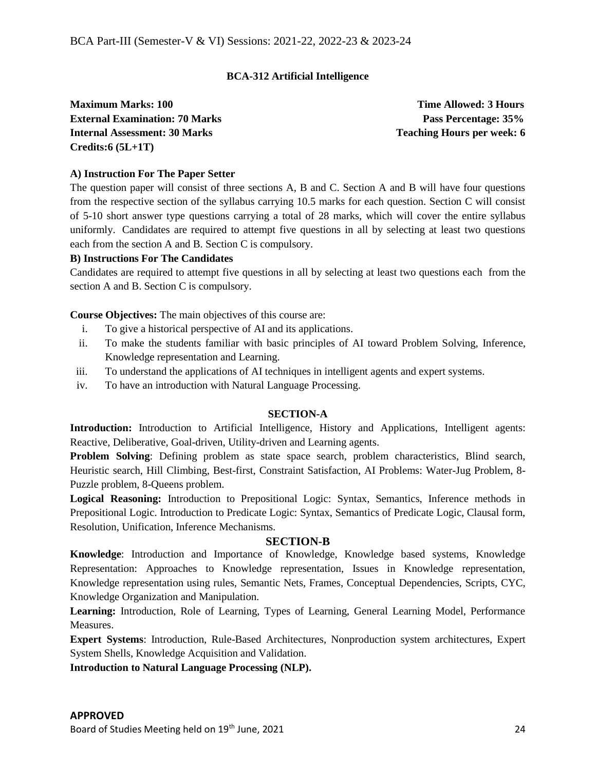## **BCA-312 Artificial Intelligence**

**Maximum Marks: 100** Time Allowed: 3 Hours **External Examination: 70 Marks Pass Percentage: 35% Internal Assessment: 30 Marks Teaching Hours** Peaching Hours per week: 6 **Credits:6 (5L+1T)**

## **A) Instruction For The Paper Setter**

The question paper will consist of three sections A, B and C. Section A and B will have four questions from the respective section of the syllabus carrying 10.5 marks for each question. Section C will consist of 5-10 short answer type questions carrying a total of 28 marks, which will cover the entire syllabus uniformly. Candidates are required to attempt five questions in all by selecting at least two questions each from the section A and B. Section C is compulsory.

## **B) Instructions For The Candidates**

Candidates are required to attempt five questions in all by selecting at least two questions each from the section A and B. Section C is compulsory.

**Course Objectives:** The main objectives of this course are:

- i. To give a historical perspective of AI and its applications.
- ii. To make the students familiar with basic principles of AI toward Problem Solving, Inference, Knowledge representation and Learning.
- iii. To understand the applications of AI techniques in intelligent agents and expert systems.
- iv. To have an introduction with Natural Language Processing.

## **SECTION-A**

**Introduction:** Introduction to Artificial Intelligence, History and Applications, Intelligent agents: Reactive, Deliberative, Goal-driven, Utility-driven and Learning agents.

**Problem Solving**: Defining problem as state space search, problem characteristics, Blind search, Heuristic search, Hill Climbing, Best-first, Constraint Satisfaction, AI Problems: Water-Jug Problem, 8- Puzzle problem, 8-Queens problem.

**Logical Reasoning:** Introduction to Prepositional Logic: Syntax, Semantics, Inference methods in Prepositional Logic. Introduction to Predicate Logic: Syntax, Semantics of Predicate Logic, Clausal form, Resolution, Unification, Inference Mechanisms.

## **SECTION-B**

**Knowledge**: Introduction and Importance of Knowledge, Knowledge based systems, Knowledge Representation: Approaches to Knowledge representation, Issues in Knowledge representation, Knowledge representation using rules, Semantic Nets, Frames, Conceptual Dependencies, Scripts, CYC, Knowledge Organization and Manipulation.

**Learning:** Introduction, Role of Learning, Types of Learning, General Learning Model, Performance Measures.

**Expert Systems**: Introduction, Rule-Based Architectures, Nonproduction system architectures, Expert System Shells, Knowledge Acquisition and Validation.

**Introduction to Natural Language Processing (NLP).**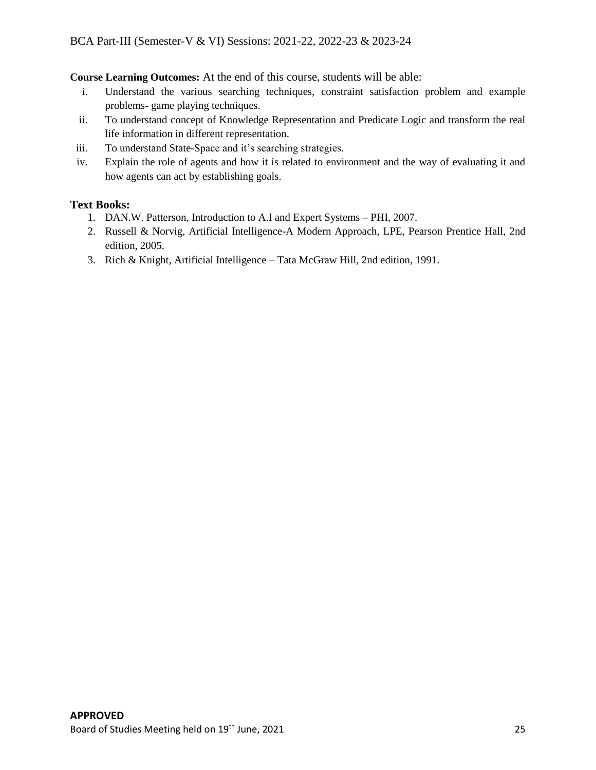**Course Learning Outcomes:** At the end of this course, students will be able:

- i. Understand the various searching techniques, constraint satisfaction problem and example problems- game playing techniques.
- ii. To understand concept of Knowledge Representation and Predicate Logic and transform the real life information in different representation.
- iii. To understand State-Space and it's searching strategies.
- iv. Explain the role of agents and how it is related to environment and the way of evaluating it and how agents can act by establishing goals.

## **Text Books:**

- 1. DAN.W. Patterson, Introduction to A.I and Expert Systems PHI, 2007.
- 2. Russell & Norvig, Artificial Intelligence-A Modern Approach, LPE, Pearson Prentice Hall, 2nd edition, 2005.
- 3. Rich & Knight, Artificial Intelligence Tata McGraw Hill, 2nd edition, 1991.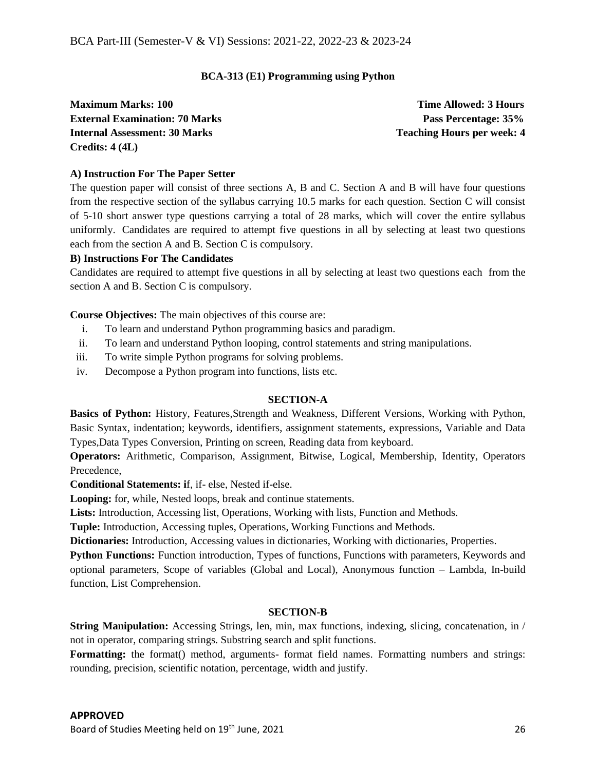## **BCA-313 (E1) Programming using Python**

**Maximum Marks: 100 Time Allowed: 3 Hours External Examination: 70 Marks Pass Percentage: 35% Internal Assessment: 30 Marks Teaching Hours per week: 4 <b>Teaching Hours** per week: 4 **Credits: 4 (4L)**

## **A) Instruction For The Paper Setter**

The question paper will consist of three sections A, B and C. Section A and B will have four questions from the respective section of the syllabus carrying 10.5 marks for each question. Section C will consist of 5-10 short answer type questions carrying a total of 28 marks, which will cover the entire syllabus uniformly. Candidates are required to attempt five questions in all by selecting at least two questions each from the section A and B. Section C is compulsory.

## **B) Instructions For The Candidates**

Candidates are required to attempt five questions in all by selecting at least two questions each from the section A and B. Section C is compulsory.

**Course Objectives:** The main objectives of this course are:

- i. To learn and understand Python programming basics and paradigm.
- ii. To learn and understand Python looping, control statements and string manipulations.
- iii. To write simple Python programs for solving problems.
- iv. Decompose a Python program into functions, lists etc.

## **SECTION-A**

**Basics of Python:** History, Features,Strength and Weakness, Different Versions, Working with Python, Basic Syntax, indentation; keywords, identifiers, assignment statements, expressions, Variable and Data Types,Data Types Conversion, Printing on screen, Reading data from keyboard.

**Operators:** Arithmetic, Comparison, Assignment, Bitwise, Logical, Membership, Identity, Operators Precedence,

**Conditional Statements: i**f, if- else, Nested if-else.

**Looping:** for, while, Nested loops, break and continue statements.

**Lists:** Introduction, Accessing list, Operations, Working with lists, Function and Methods.

**Tuple:** Introduction, Accessing tuples, Operations, Working Functions and Methods.

**Dictionaries:** Introduction, Accessing values in dictionaries, Working with dictionaries, Properties.

**Python Functions:** Function introduction, Types of functions, Functions with parameters, Keywords and optional parameters, Scope of variables (Global and Local), Anonymous function – Lambda, In-build function, List Comprehension.

## **SECTION-B**

**String Manipulation:** Accessing Strings, len, min, max functions, indexing, slicing, concatenation, in / not in operator, comparing strings. Substring search and split functions.

**Formatting:** the format() method, arguments- format field names. Formatting numbers and strings: rounding, precision, scientific notation, percentage, width and justify.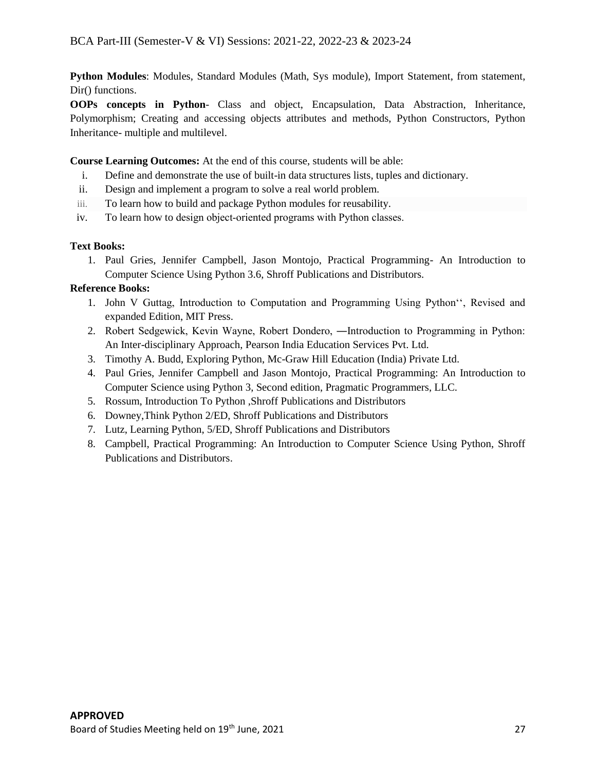**Python Modules**: Modules, Standard Modules (Math, Sys module), Import Statement, from statement, Dir() functions.

**OOPs concepts in Python**- Class and object, Encapsulation, Data Abstraction, Inheritance, Polymorphism; Creating and accessing objects attributes and methods, Python Constructors, Python Inheritance- multiple and multilevel.

## **Course Learning Outcomes:** At the end of this course, students will be able:

- i. Define and demonstrate the use of built-in data structures lists, tuples and dictionary.
- ii. Design and implement a program to solve a real world problem.
- iii. To learn how to build and package Python modules for reusability.
- iv. To learn how to design object-oriented programs with Python classes.

## **Text Books:**

1. Paul Gries, Jennifer Campbell, Jason Montojo, Practical Programming- An Introduction to Computer Science Using Python 3.6, Shroff Publications and Distributors.

## **Reference Books:**

- 1. John V Guttag, Introduction to Computation and Programming Using Python'', Revised and expanded Edition, MIT Press.
- 2. Robert Sedgewick, Kevin Wayne, Robert Dondero, ―Introduction to Programming in Python: An Inter-disciplinary Approach, Pearson India Education Services Pvt. Ltd.
- 3. Timothy A. Budd, Exploring Python, Mc-Graw Hill Education (India) Private Ltd.
- 4. Paul Gries, Jennifer Campbell and Jason Montojo, Practical Programming: An Introduction to Computer Science using Python 3, Second edition, Pragmatic Programmers, LLC.
- 5. Rossum, Introduction To Python ,Shroff Publications and Distributors
- 6. Downey,Think Python 2/ED, Shroff Publications and Distributors
- 7. Lutz, Learning Python, 5/ED, Shroff Publications and Distributors
- 8. Campbell, Practical Programming: An Introduction to Computer Science Using Python, Shroff Publications and Distributors.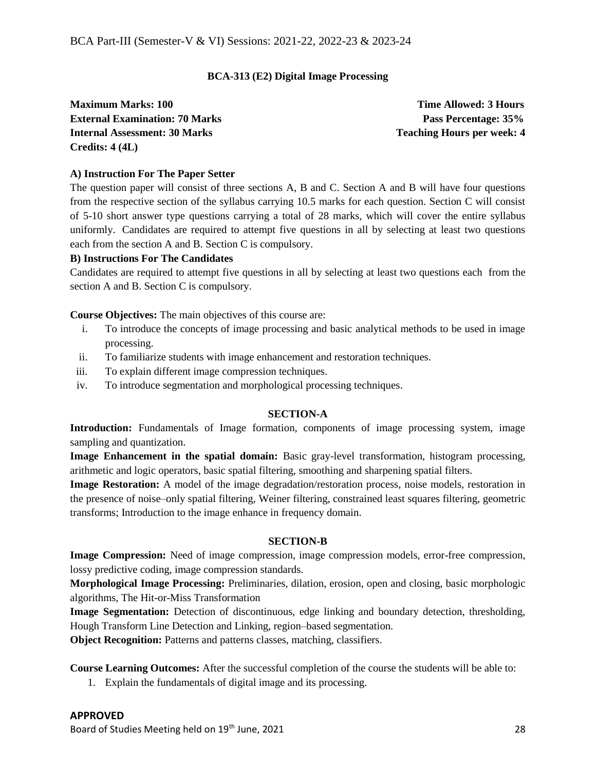## **BCA-313 (E2) Digital Image Processing**

**Maximum Marks: 100 Time Allowed: 3 Hours External Examination: 70 Marks Pass Percentage: 35% Internal Assessment: 30 Marks Teaching Hours** Peaching Hours per week: 4 **Credits: 4 (4L)**

## **A) Instruction For The Paper Setter**

The question paper will consist of three sections A, B and C. Section A and B will have four questions from the respective section of the syllabus carrying 10.5 marks for each question. Section C will consist of 5-10 short answer type questions carrying a total of 28 marks, which will cover the entire syllabus uniformly. Candidates are required to attempt five questions in all by selecting at least two questions each from the section A and B. Section C is compulsory.

## **B) Instructions For The Candidates**

Candidates are required to attempt five questions in all by selecting at least two questions each from the section A and B. Section C is compulsory.

**Course Objectives:** The main objectives of this course are:

- i. To introduce the concepts of image processing and basic analytical methods to be used in image processing.
- ii. To familiarize students with image enhancement and restoration techniques.
- iii. To explain different image compression techniques.
- iv. To introduce segmentation and morphological processing techniques.

## **SECTION-A**

**Introduction:** Fundamentals of Image formation, components of image processing system, image sampling and quantization.

**Image Enhancement in the spatial domain:** Basic gray-level transformation, histogram processing, arithmetic and logic operators, basic spatial filtering, smoothing and sharpening spatial filters.

**Image Restoration:** A model of the image degradation/restoration process, noise models, restoration in the presence of noise–only spatial filtering, Weiner filtering, constrained least squares filtering, geometric transforms; Introduction to the image enhance in frequency domain.

## **SECTION-B**

**Image Compression:** Need of image compression, image compression models, error-free compression, lossy predictive coding, image compression standards.

**Morphological Image Processing:** Preliminaries, dilation, erosion, open and closing, basic morphologic algorithms, The Hit-or-Miss Transformation

**Image Segmentation:** Detection of discontinuous, edge linking and boundary detection, thresholding, Hough Transform Line Detection and Linking, region–based segmentation.

**Object Recognition:** Patterns and patterns classes, matching, classifiers.

**Course Learning Outcomes:** After the successful completion of the course the students will be able to:

1. Explain the fundamentals of digital image and its processing.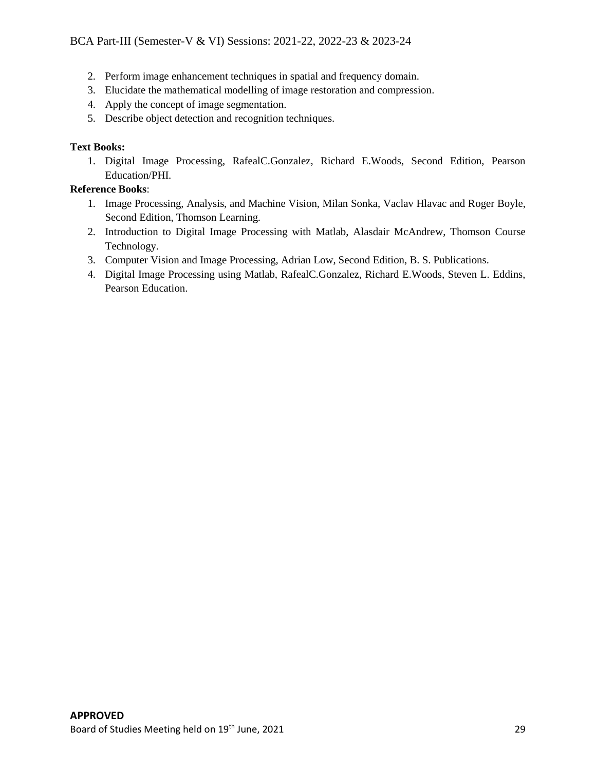## BCA Part-III (Semester-V & VI) Sessions: 2021-22, 2022-23 & 2023-24

- 2. Perform image enhancement techniques in spatial and frequency domain.
- 3. Elucidate the mathematical modelling of image restoration and compression.
- 4. Apply the concept of image segmentation.
- 5. Describe object detection and recognition techniques.

## **Text Books:**

1. Digital Image Processing, RafealC.Gonzalez, Richard E.Woods, Second Edition, Pearson Education/PHI.

## **Reference Books**:

- 1. Image Processing, Analysis, and Machine Vision, Milan Sonka, Vaclav Hlavac and Roger Boyle, Second Edition, Thomson Learning.
- 2. Introduction to Digital Image Processing with Matlab, Alasdair McAndrew, Thomson Course Technology.
- 3. Computer Vision and Image Processing, Adrian Low, Second Edition, B. S. Publications.
- 4. Digital Image Processing using Matlab, RafealC.Gonzalez, Richard E.Woods, Steven L. Eddins, Pearson Education.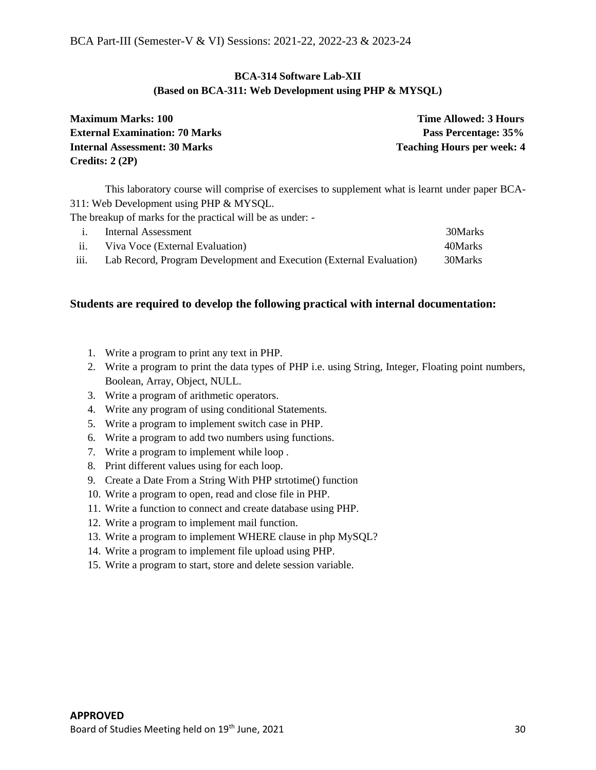## **BCA-314 Software Lab-XII (Based on BCA-311: Web Development using PHP & MYSQL)**

| <b>Maximum Marks: 100</b>             | <b>Time Allowed: 3 Hours</b>      |
|---------------------------------------|-----------------------------------|
| <b>External Examination: 70 Marks</b> | Pass Percentage: 35%              |
| <b>Internal Assessment: 30 Marks</b>  | <b>Teaching Hours per week: 4</b> |
| Credits: $2(2P)$                      |                                   |

This laboratory course will comprise of exercises to supplement what is learnt under paper BCA-311: Web Development using PHP & MYSQL.

The breakup of marks for the practical will be as under: -

|      | Internal Assessment                                                 | 30Marks |
|------|---------------------------------------------------------------------|---------|
| ii.  | Viva Voce (External Evaluation)                                     | 40Marks |
| iii. | Lab Record, Program Development and Execution (External Evaluation) | 30Marks |

- 1. Write a program to print any text in PHP.
- 2. Write a program to print the data types of PHP i.e. using String, Integer, Floating point numbers, Boolean, Array, Object, NULL.
- 3. Write a program of arithmetic operators.
- 4. Write any program of using conditional Statements.
- 5. Write a program to implement switch case in PHP.
- 6. Write a program to add two numbers using functions.
- 7. Write a program to implement while loop .
- 8. Print different values using for each loop.
- 9. Create a Date From a String With PHP strtotime() function
- 10. Write a program to open, read and close file in PHP.
- 11. Write a function to connect and create database using PHP.
- 12. Write a program to implement mail function.
- 13. Write a program to implement WHERE clause in php MySQL?
- 14. Write a program to implement file upload using PHP.
- 15. Write a program to start, store and delete session variable.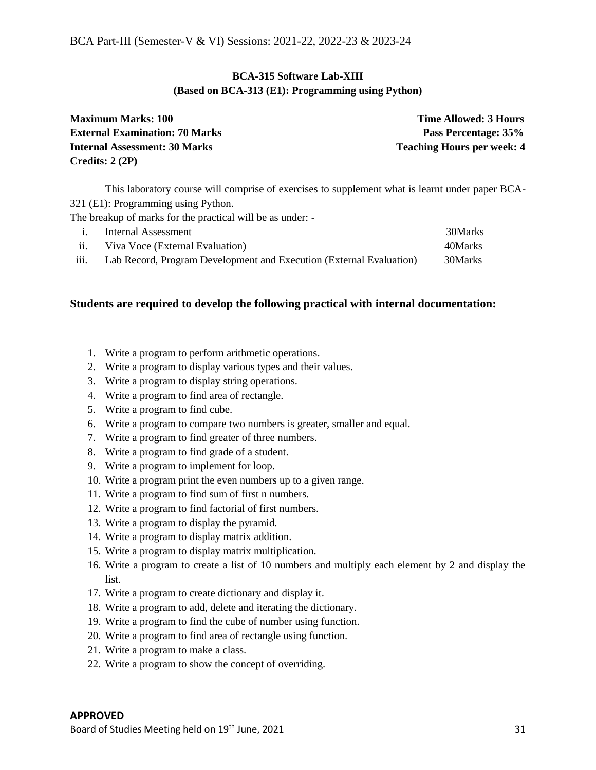## **BCA-315 Software Lab-XIII (Based on BCA-313 (E1): Programming using Python)**

| <b>Maximum Marks: 100</b>             | <b>Time Allowed: 3 Hours</b>      |  |
|---------------------------------------|-----------------------------------|--|
| <b>External Examination: 70 Marks</b> | Pass Percentage: 35%              |  |
| <b>Internal Assessment: 30 Marks</b>  | <b>Teaching Hours per week: 4</b> |  |
| Credits: $2(2P)$                      |                                   |  |

This laboratory course will comprise of exercises to supplement what is learnt under paper BCA-321 (E1): Programming using Python.

The breakup of marks for the practical will be as under: -

|                   | Internal Assessment                                                 | 30Marks |
|-------------------|---------------------------------------------------------------------|---------|
| $\overline{11}$ . | Viva Voce (External Evaluation)                                     | 40Marks |
| iii.              | Lab Record, Program Development and Execution (External Evaluation) | 30Marks |

- 1. Write a program to perform arithmetic operations.
- 2. Write a program to display various types and their values.
- 3. Write a program to display string operations.
- 4. Write a program to find area of rectangle.
- 5. Write a program to find cube.
- 6. Write a program to compare two numbers is greater, smaller and equal.
- 7. Write a program to find greater of three numbers.
- 8. Write a program to find grade of a student.
- 9. Write a program to implement for loop.
- 10. Write a program print the even numbers up to a given range.
- 11. Write a program to find sum of first n numbers.
- 12. Write a program to find factorial of first numbers.
- 13. Write a program to display the pyramid.
- 14. Write a program to display matrix addition.
- 15. Write a program to display matrix multiplication.
- 16. Write a program to create a list of 10 numbers and multiply each element by 2 and display the list.
- 17. Write a program to create dictionary and display it.
- 18. Write a program to add, delete and iterating the dictionary.
- 19. Write a program to find the cube of number using function.
- 20. Write a program to find area of rectangle using function.
- 21. Write a program to make a class.
- 22. Write a program to show the concept of overriding.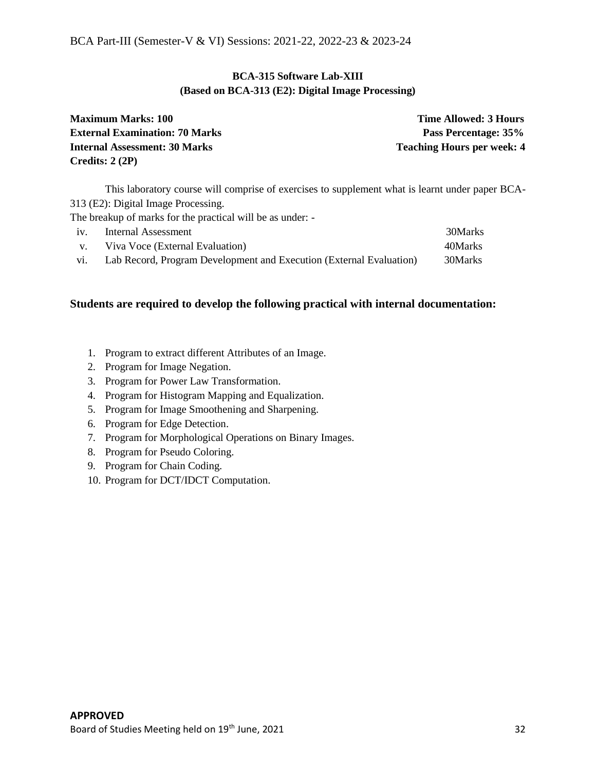## **BCA-315 Software Lab-XIII (Based on BCA-313 (E2): Digital Image Processing)**

| <b>Maximum Marks: 100</b>             | <b>Time Allowed: 3 Hours</b>      |  |
|---------------------------------------|-----------------------------------|--|
| <b>External Examination: 70 Marks</b> | Pass Percentage: 35%              |  |
| <b>Internal Assessment: 30 Marks</b>  | <b>Teaching Hours per week: 4</b> |  |
| Credits: $2(2P)$                      |                                   |  |

This laboratory course will comprise of exercises to supplement what is learnt under paper BCA-313 (E2): Digital Image Processing.

The breakup of marks for the practical will be as under: -

| 1V.            | Internal Assessment                                                 | 30Marks |
|----------------|---------------------------------------------------------------------|---------|
| $\mathbf{V}$ . | Viva Voce (External Evaluation)                                     | 40Marks |
| V1.            | Lab Record, Program Development and Execution (External Evaluation) | 30Marks |

- 1. Program to extract different Attributes of an Image.
- 2. Program for Image Negation.
- 3. Program for Power Law Transformation.
- 4. Program for Histogram Mapping and Equalization.
- 5. Program for Image Smoothening and Sharpening.
- 6. Program for Edge Detection.
- 7. Program for Morphological Operations on Binary Images.
- 8. Program for Pseudo Coloring.
- 9. Program for Chain Coding.
- 10. Program for DCT/IDCT Computation.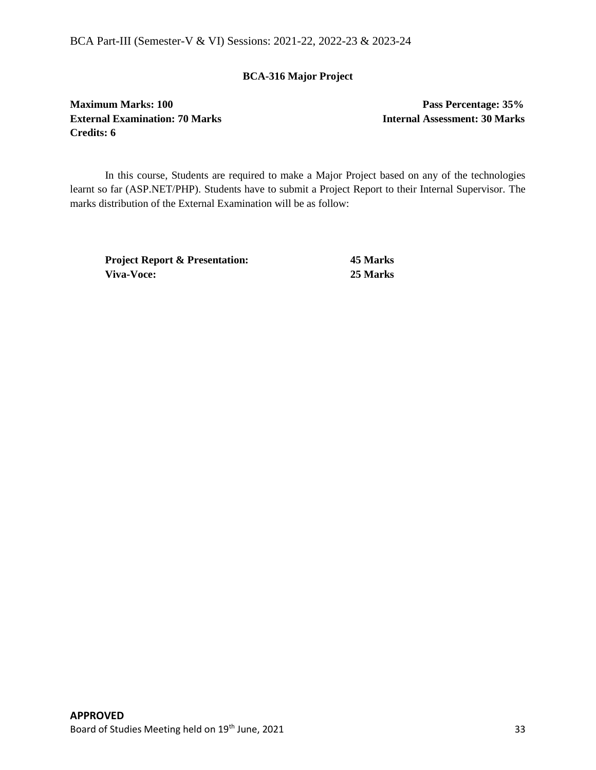BCA Part-III (Semester-V & VI) Sessions: 2021-22, 2022-23 & 2023-24

## **BCA-316 Major Project**

**Maximum Marks: 100 Pass Percentage: 35% External Examination: 70 Marks Internal Assessment: 30 Marks Credits: 6** 

In this course, Students are required to make a Major Project based on any of the technologies learnt so far (ASP.NET/PHP). Students have to submit a Project Report to their Internal Supervisor. The marks distribution of the External Examination will be as follow:

**Project Report & Presentation: 45 Marks Viva-Voce: 25 Marks**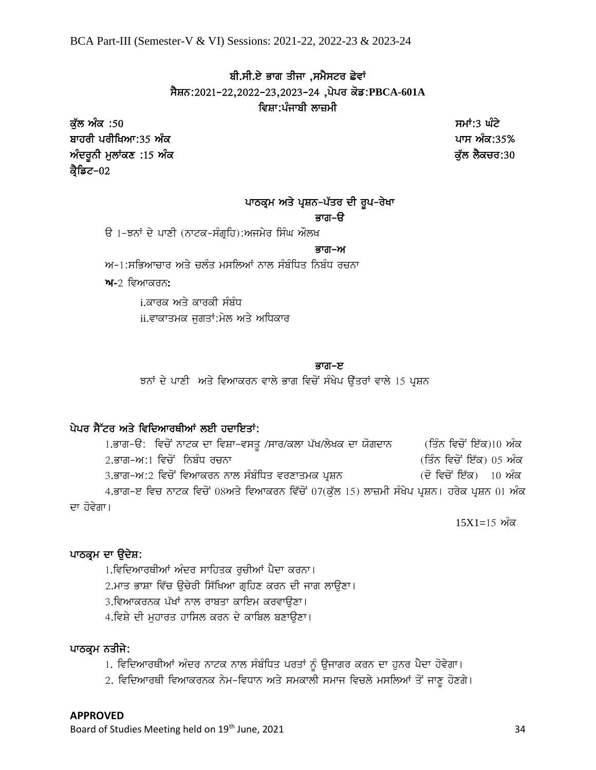BCA Part-III (Semester-V & VI) Sessions: 2021-22, 2022-23 & 2023-24

## ਬੀ.ਸੀ.ਏ ਭਾਗ ਤੀਜਾ ,ਸਮੈਸਟਰ ਛੇਵਾਂ sYSn:2021-22,2022-23,2023-24 ,pypr kof:**PBCA-601A** ਵਿਸ਼ਾ∶ਪੰਜਾਬੀ ਲਾਜ਼ਮੀ

ਕੁੱਲ ਅੰਕ :50 ਤਿਆਰਾ ਕਰਨ ਦੀ ਸਮਾਂ:3 ਘੰਟੇ ਬਾਹਰੀ ਪਰੀਖਿਆ:35 ਅੰਕ **ਦਿਤੀ ਦਾ ਸ਼ਹਿਰ ਵਿੱਚ ਸ਼ਹਿਰ ਦੀ ਸ਼ਹਿਰ ਦਾ ਸ਼ਹਿਰ ਦਾ ਸ਼ਹਿਰ ਦਾ ਸ਼ਹਿਰ ਦਾ ਸ਼ਹਿਰ ਦਾ ਸ਼ਹਿਰ ਦਾ ਸ਼ਹਿਰ ਦ**  $\hat{\mathcal{M}}$ ਦਰੂਨੀ ਮੁਲਾਂਕਣ :15 ਅੰਕ ਕ੍ਰੈਡਿਟ–02

## ਪਾਠਕ੍ਰਮ ਅਤੇ ਪ੍ਰਸ਼ਨ-ਪੱਤਰ ਦੀ ਰੁਪ-ਰੇਖਾ

## ਕਾਰਾ–ਓ

ੳ 1–ਝਨਾਂ ਦੇ ਪਾਣੀ (ਨਾਟਕ-ਸੰਗੁਹਿ):ਅਜਮੇਰ ਸਿੰਘ ਔਲਖ

#### ਬਾਰੀ–ਅਮਰੀਕਾਰ ਦਾ ਸੰਭਾਵਿਤ ਸ਼ਾਮਿਲ ਦੀ ਸ਼ਾਮਿਲ ਦੀ ਸ਼ਾਮਿਲ ਦੀ ਸ਼ਾਮਿਲ ਦੀ ਸ਼ਾਮਿਲ ਦੀ ਸ਼ਾਮਿਲ ਦੀ ਸ਼ਾਮਿਲ ਦੀ ਸ਼ਾਮਿਲ ਦੀ ਸ਼ਾਮਿਲ<br>ਸ਼ਾਮਿਲ ਦੀ ਸ਼ਾਮਿਲ ਦੀ ਸ਼ਾਮਿਲ ਦੀ ਸ਼ਾਮਿਲ ਦੀ ਸ਼ਾਮਿਲ ਦੀ ਸ਼ਾਮਿਲ ਦੀ ਸ਼ਾਮਿਲ ਦੀ ਸ਼ਾਮਿਲ ਦੀ ਸ਼ਾਮਿਲ ਦੀ ਸ਼ਾਮਿਲ ਦੀ ਸ਼ਾਮਿਲ ਦੀ

 $M-1$ :ਸਕਿਆਚਾਰ ਅਤੇ ਚਲੰਤ ਮਸਲਿਆਂ ਨਾਲ ਸੰਬੰਧਿਤ ਨਿਬੰਧ ਰਚਨਾ

**ਅ-**2 ਵਿਆਕਰਨ:

i.ਕਾਰਕ ਅਤੇ ਕਾਰਕੀ ਸੰਬੰਧ ii.ਵਾਕਾਤਮਕ ਜਗਤਾਂ:ਮੇਲ ਅਤੇ ਅਧਿਕਾਰ

#### ਭਾਗ–ੲ

ਝਨਾਂ ਦੇ ਪਾਣੀ ਅਤੇ ਵਿਆਕਰਨ ਵਾਲੇ ਭਾਗ ਵਿਚੋਂ ਸੰਖੇਪ ਉੱਤਰਾਂ ਵਾਲੇ 15 ਪੁਸ਼ਨ

## ਪੇਪਰ ਸੈੱਟਰ ਅਤੇ ਵਿਦਿਆਰਥੀਆਂ ਲਈ ਹਦਾਇਤਾਂ:

1.ਭਾਗ-ੳ: ਵਿਚੋਂ ਨਾਟਕ ਦਾ ਵਿਸ਼ਾ-ਵਸਤੂ /ਸਾਰ/ਕਲਾ ਪੱਖ/ਲੇਖਕ ਦਾ ਯੋਗਦਾਨ (ਤਿੰਨ ਵਿਚੋਂ ਇੱਕ)10 ਅੰਕ  $2.\overline{\mathsf{a}}$ ਾਗ-ਅ $:1$  ਵਿਚੋਂ ਨਿਬੰਧ ਰਚਨਾ ਵਿੱਚੋਂ ਇੱਕ) 05 ਅੰਕ 3.ਭਾਗ-ਅ:2 ਵਿਚੋਂ ਵਿਆਕਰਨ ਨਾਲ ਸੰਬੰਧਿਤ ਵਰਣਾਤਮਕ ਪੁਸ਼ਨ (ਦੋ ਵਿਚੋਂ ਇੱਕ) 10 ਅੰਕ 4.ਭਾਗ-ੲ ਵਿਚ ਨਾਟਕ ਵਿਚੋਂ 08ਅਤੇ ਵਿਆਕਰਨ ਵਿੱਚੋਂ 07(ਕੱਲ 15) ਲਾਜ਼ਮੀ ਸੰਖੇਪ ਪੁਸ਼ਨ। ਹਰੇਕ ਪੁਸ਼ਨ 01 ਅੰਕ ਦਾ ਹੋਵੇਗਾ।

 $15X1=15$  ਅੰਕ

## ਪਾਠਕ੍ਰਮ ਦਾ ਉਦੇਸ਼:

1.ਵਿਦਿਆਰਥੀਆਂ ਅੰਦਰ ਸਾਹਿਤਕ ਰੁਚੀਆਂ ਪੈਦਾ ਕਰਨਾ। 2.ਮਾਤ ਭਾਸ਼ਾ ਵਿੱਚ ੳਚੇਰੀ ਸਿੱਖਿਆ ਗਹਿਣ ਕਰਨ ਦੀ ਜਾਗ ਲਾੳਣਾ। 3.ਵਿਆਕਰਨਕ ਪੱਖਾਂ ਨਾਲ ਰਾਬਤਾ ਕਾਇਮ ਕਰਵਾੳਣਾ। 4.ਵਿਸ਼ੇ ਦੀ ਮਹਾਰਤ ਹਾਸਿਲ ਕਰਨ ਦੇ ਕਾਬਿਲ ਬਣਾਉਣਾ।

## ਪਾਠਕ੍ਰਮ ਨਤੀਜੇ:

1. ਵਿਦਿਆਰਥੀਆਂ ਅੰਦਰ ਨਾਟਕ ਨਾਲ ਸੰਬੰਧਿਤ ਪਰਤਾਂ ਨੂੰ ਉਜਾਗਰ ਕਰਨ ਦਾ ਹੁਨਰ ਪੈਦਾ ਹੋਵੇਗਾ।

2. ਵਿਦਿਆਰਥੀ ਵਿਆਕਰਨਕ ਨੇਮ-ਵਿਧਾਨ ਅਤੇ ਸਮਕਾਲੀ ਸਮਾਜ ਵਿਚਲੇ ਮਸਲਿਆਂ ਤੋਂ ਜਾਣੂ ਹੋਣਗੇ।

#### **APPROVED**

Board of Studies Meeting held on 19<sup>th</sup> June, 2021 34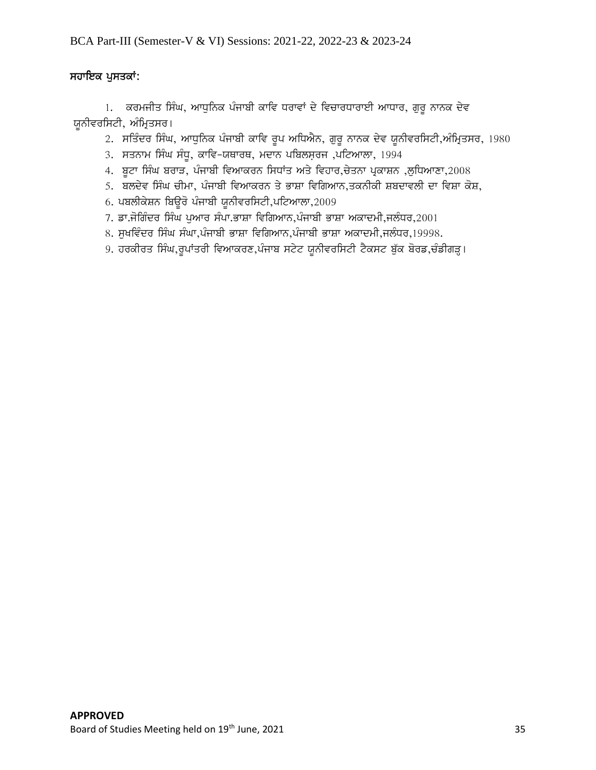## ਸਹਾਇਕ ਪੁਸਤਕਾਂ:

1. ਕਰਮਜੀਤ ਸਿੰਘ, ਆਧੁਨਿਕ ਪੰਜਾਬੀ ਕਾਵਿ ਧਰਾਵਾਂ ਦੇ ਵਿਚਾਰਧਾਰਾਈ ਆਧਾਰ, ਗੁਰੁ ਨਾਨਕ ਦੇਵ ਯੂਨੀਵਰਸਿਟੀ, ਅੰਮ੍ਰਿਤਸਰ।

- 2. ਸਤਿੰਦਰ ਸਿੰਘ, ਆਧੁਨਿਕ ਪੰਜਾਬੀ ਕਾਵਿ ਰੂਪ ਅਧਿਐਨ, ਗੁਰੂ ਨਾਨਕ ਦੇਵ ਯੂਨੀਵਰਸਿਟੀ,ਅੰਮ੍ਰਿਤਸਰ, 1980
- 3. ਸਤਨਾਮ ਸਿੰਘ ਸੰਧੁ, ਕਾਵਿ-ਯਥਾਰਥ, ਮਦਾਨ ਪਬਿਲਸ਼ਰਜ ,ਪਟਿਆਲਾ, 1994
- 4. ਬੂਟਾ ਸਿੰਘ ਬਰਾੜ, ਪੰਜਾਬੀ ਵਿਆਕਰਨ ਸਿਧਾਂਤ ਅਤੇ ਵਿਹਾਰ,ਚੇਤਨਾ ਪ੍ਰਕਾਸ਼ਨ ,ਲੁਧਿਆਣਾ,2008
- <u>5. ਬਲਦੇਵ ਸਿੰਘ ਚੀਮਾ, ਪੰਜਾਬੀ ਵਿਆਕਰਨ ਤੇ ਭਾਸ਼ਾ ਵਿਗਿਆਨ,ਤਕਨੀਕੀ ਸ਼ਬਦਾਵਲੀ ਦਾ ਵਿਸ਼ਾ ਕੋਸ਼,</u>
- 6. ਪਬਲੀਕੇਸ਼ਨ ਬਿਉਰੋ ਪੰਜਾਬੀ ਯੂਨੀਵਰਸਿਟੀ,ਪਟਿਆਲਾ,2009
- 7. ਡਾ.ਜੋਗਿੰਦਰ ਸਿੰਘ ਪੁਆਰ ਸੰਪਾ.ਭਾਸ਼ਾ ਵਿਗਿਆਨ,ਪੰਜਾਬੀ ਭਾਸ਼ਾ ਅਕਾਦਮੀ,ਜਲੰਧਰ,2001
- 8. ਸਖਵਿੰਦਰ ਸਿੰਘ ਸੰਘਾ,ਪੰਜਾਬੀ ਭਾਸ਼ਾ ਵਿਗਿਆਨ,ਪੰਜਾਬੀ ਭਾਸ਼ਾ ਅਕਾਦਮੀ,ਜਲੰਧਰ,19998.
- 9. ਹਰਕੀਰਤ ਸਿੰਘ,ਰੁਪਾਂਤਰੀ ਵਿਆਕਰਣ,ਪੰਜਾਬ ਸਟੇਟ ਯੂਨੀਵਰਸਿਟੀ ਟੈਕਸਟ ਬੁੱਕ ਬੋਰਡ,ਚੰਡੀਗੜ੍ਹ।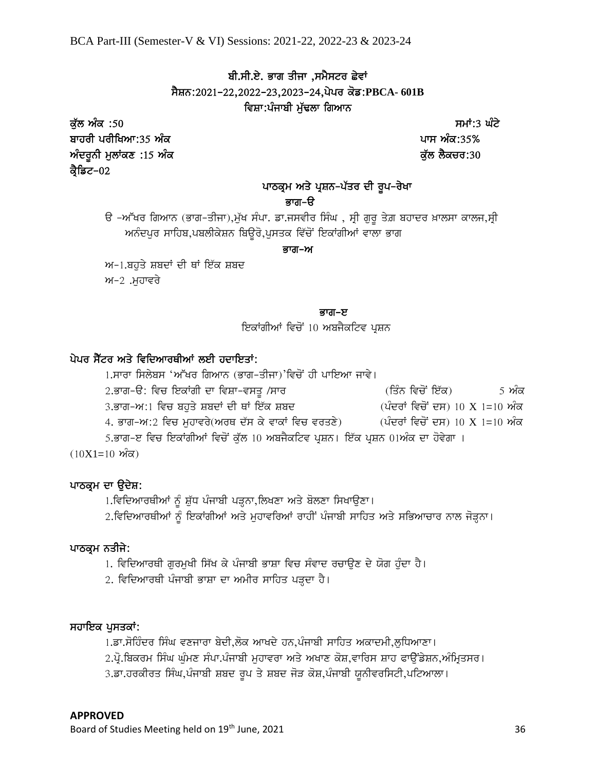## ਬੀ.ਸੀ.ਏ. ਭਾਗ ਤੀਜਾ ,ਸਮੈਸਟਰ ਛੇਵਾਂ sYSn:2021-22,2022-23,2023-24,pypr kof:**PBCA- 601B** ਵਿਸ਼ਾ:ਪੰਜਾਬੀ ਮੁੱਢਲਾ ਗਿਆਨ

ਕੁੱਲ ਅੰਕ :50 ਤਿਆਰ ਦੀ ਸਮਾਂ:3 ਘੱਟੇ ਬਾਹਰੀ ਪਰੀਖਿਆ:35 ਅੰਕ **ਦਿਤੀ ਦਾ ਸ਼ਹਿਰ ਵਿੱਚ ਸ਼ਹਿਰ ਦੀ ਸ਼ਹਿਰ ਦੀ ਸ਼ਹਿਰ ਦਾ ਸ਼ਹਿਰ ਦਾ ਸ਼ਹਿਰ ਦਾ ਸ਼ਹਿਰ ਦਾ ਸ਼ਹਿਰ ਦਾ ਸ਼ਹਿਰ ਦ**  $\hat{\mathcal{M}}$ ਦਰੂਨੀ ਮੁਲਾਂਕਣ :15 ਅੰਕ ਕ੍ਰੈਡਿਟ–02

## ਪਾਠਕ੍ਰਮ ਅਤੇ ਪ੍ਰਸ਼ਨ-ਪੱਤਰ ਦੀ ਰੂਪ-ਰੇਖਾ

## ਭਾਗ–ੳ

ਓ –ਅੱਖਰ ਗਿਆਨ (ਭਾਗ–ਤੀਜਾ),ਮੁੱਖ ਸੰਪਾ. ਡਾ.ਜਸਵੀਰ ਸਿੰਘ , ਸ੍ਰੀ ਗੁਰੂ ਤੇਗ਼ ਬਹਾਦਰ ਖ਼ਾਲਸਾ ਕਾਲਜ,ਸ੍ਰੀ ਅਨੰਦਪੁਰ ਸਾਹਿਬ,ਪਬਲੀਕੇਸ਼ਨ ਬਿਉਰੋ,ਪੁਸਤਕ ਵਿੱਚੋਂ ਇਕਾਂਗੀਆਂ ਵਾਲਾ ਭਾਗ

#### ਭਾਗ–ਅ

 $M-1$ .ਬਹਤੇ ਸ਼ਬਦਾਂ ਦੀ ਥਾਂ ਇੱਕ ਸ਼ਬਦ

 $M-2$  .ਮਹਾਵਰੇ

## ਬਾਰ ਕਰ ਕਰਨ ਵਿੱਚ ਸ਼ਾਮਲ ਦਾ ਸ਼ਾਮਲ ਦਾ ਸ਼ਾਮਲ ਦਾ ਸ਼ਾਮਲ ਦਾ ਸ਼ਾਮਲ ਦਾ ਸ਼ਾਮਲ ਦਾ ਸ਼ਾਮਲ ਦਾ ਸ਼ਾਮਲ ਦਾ ਸ਼ਾਮਲ ਦਾ ਸ਼ਾਮਲ ਦਾ ਸ਼ਾਮ

ਇਕਾਂਗੀਆਂ ਵਿਚੋਂ 10 ਅਬਜੈਕਟਿਵ ਪ੍ਰਸ਼ਨ

## ਪੇਪਰ ਸੈੱਟਰ ਅਤੇ ਵਿਦਿਆਰਥੀਆਂ ਲਈ ਹਦਾਇਤਾਂ:

1.ਸਾਰਾ ਸਿਲੇਬਸ 'ਅੱਖਰ ਗਿਆਨ (ਭਾਗ-ਤੀਜਾ)'ਵਿਚੋਂ ਹੀ ਪਾਇਆ ਜਾਵੇ। 2.ਭਾਗ-ੳ: ਵਿਚ ਇਕਾਂਗੀ ਦਾ ਵਿਸ਼ਾ-ਵਸਤੂ /ਸਾਰ (ਤਿੰਨ ਵਿਚੋਂ ਇੱਕ) 5 ਅੰਕ 3.ਭਾਗ–ਅ:1 ਵਿਚ ਬਹੁਤੇ ਸ਼ਬਦਾਂ ਦੀ ਥਾਂ ਇੱਕ ਸ਼ਬਦ (ਪੰਦਰਾਂ ਵਿਚੋਂ ਦਸ) 10 X 1=10 ਅੰਕ 4. ਭਾਗ–ਅ:2 ਵਿਚ ਮੁਹਾਵਰੇ(ਅਰਥ ਦੱਸ ਕੇ ਵਾਕਾਂ ਵਿਚ ਵਰਤਣੇ)  $($ ਪੰਦਰਾਂ ਵਿਚੋਂ ਦਸ)  $10$  X  $1=10$  ਅੰਕ 5.ਭਾਗ-ੲ ਵਿਚ ਇਕਾਂਗੀਆਂ ਵਿਚੋਂ ਕੁੱਲ 10 ਅਬਜੈਕਟਿਵ ਪ੍ਰਸ਼ਨ। ਇੱਕ ਪ੍ਰਸ਼ਨ 01ਅੰਕ ਦਾ ਹੋਵੇਗਾ ।  $(10X1=10 \text{ M}^{2}\text{m})$ 

## ਪਾਠਕ੍ਰਮ ਦਾ ਉਦੇਸ਼:

1.ਵਿਦਿਆਰਥੀਆਂ ਨੂੰ ਸ਼ੁੱਧ ਪੰਜਾਬੀ ਪੜ੍ਹਨਾ,ਲਿਖਣਾ ਅਤੇ ਬੋਲਣਾ ਸਿਖਾਉਣਾ।

2.ਵਿਦਿਆਰਥੀਆਂ ਨੂੰ ਇਕਾਂਗੀਆਂ ਅਤੇ ਮੁਹਾਵਰਿਆਂ ਰਾਹੀਂ ਪੰਜਾਬੀ ਸਾਹਿਤ ਅਤੇ ਸਭਿਆਚਾਰ ਨਾਲ ਜੋੜ੍ਹਨਾ।

## ਪਾਠਕ੍ਰਮ ਨਤੀਜੇ:

1. ਵਿਦਿਆਰਥੀ ਗੁਰਮੁਖੀ ਸਿੱਖ ਕੇ ਪੰਜਾਬੀ ਭਾਸ਼ਾ ਵਿਚ ਸੰਵਾਦ ਰਚਾਉਣ ਦੇ ਯੋਗ ਹੁੰਦਾ ਹੈ।

2. ਵਿਦਿਆਰਥੀ ਪੰਜਾਬੀ ਭਾਸ਼ਾ ਦਾ ਅਮੀਰ ਸਾਹਿਤ ਪੜ੍ਹਦਾ ਹੈ।

## ਸਹਾਇਕ ਪੁਸਤਕਾਂ:

1.ਡਾ.ਸੋਹਿੰਦਰ ਸਿੰਘ ਵਣਜਾਰਾ ਬੇਦੀ,ਲੋਕ ਆਖਦੇ ਹਨ,ਪੰਜਾਬੀ ਸਾਹਿਤ ਅਕਾਦਮੀ,ਲਧਿਆਣਾ।

 $2.\vec{q}$ .ਬਿਕਰਮ ਸਿੰਘ ਘੁੰਮਣ ਸੰਪਾ.ਪੰਜਾਬੀ ਮੁਹਾਵਰਾ ਅਤੇ ਅਖਾਣ ਕੋਸ਼,ਵਾਰਿਸ ਸ਼ਾਹ ਫਾਉਂਡੇਸ਼ਨ,ਅੰਮ੍ਰਿਤਸਰ।

3.ਡਾ.ਹਰਕੀਰਤ ਸਿੰਘ,ਪੰਜਾਬੀ ਸ਼ਬਦ ਰੂਪ ਤੇ ਸ਼ਬਦ ਜੋੜ ਕੋਸ਼,ਪੰਜਾਬੀ ਯੂਨੀਵਰਸਿਟੀ,ਪਟਿਆਲਾ।

Board of Studies Meeting held on 19<sup>th</sup> June, 2021 36